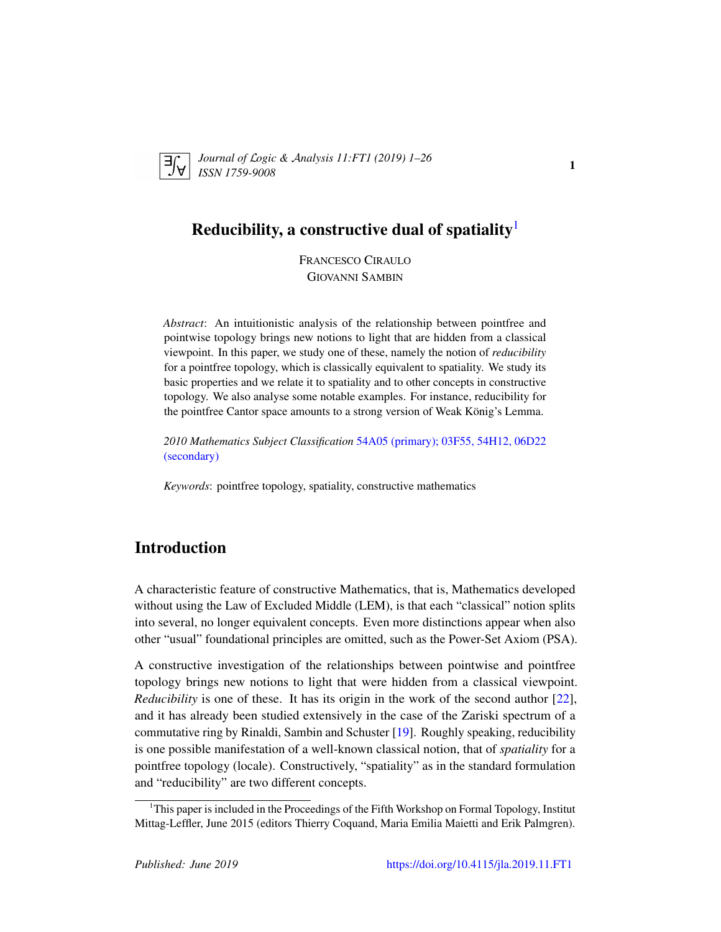

*Journal of* L*ogic &* A*nalysis 11:FT1 (2019) 1–26 ISSN 1759-9008* 11.7 11 (2012) 1 20

# Reducibility, a constructive dual of spatiality $<sup>1</sup>$  $<sup>1</sup>$  $<sup>1</sup>$ </sup>

FRANCESCO CIRAULO GIOVANNI SAMBIN

*Abstract*: An intuitionistic analysis of the relationship between pointfree and pointwise topology brings new notions to light that are hidden from a classical viewpoint. In this paper, we study one of these, namely the notion of *reducibility* for a pointfree topology, which is classically equivalent to spatiality. We study its basic properties and we relate it to spatiality and to other concepts in constructive topology. We also analyse some notable examples. For instance, reducibility for the pointfree Cantor space amounts to a strong version of Weak König's Lemma.

*2010 Mathematics Subject Classification* [54A05 \(primary\); 03F55, 54H12, 06D22](http://www.ams.org/mathscinet/search/mscdoc.html?code=54A05,(03F55, 54H12, 06D22)) [\(secondary\)](http://www.ams.org/mathscinet/search/mscdoc.html?code=54A05,(03F55, 54H12, 06D22))

*Keywords*: pointfree topology, spatiality, constructive mathematics

# Introduction

A characteristic feature of constructive Mathematics, that is, Mathematics developed without using the Law of Excluded Middle (LEM), is that each "classical" notion splits into several, no longer equivalent concepts. Even more distinctions appear when also other "usual" foundational principles are omitted, such as the Power-Set Axiom (PSA).

A constructive investigation of the relationships between pointwise and pointfree topology brings new notions to light that were hidden from a classical viewpoint. *Reducibility* is one of these. It has its origin in the work of the second author [\[22\]](#page-24-0), and it has already been studied extensively in the case of the Zariski spectrum of a commutative ring by Rinaldi, Sambin and Schuster [\[19\]](#page-24-1). Roughly speaking, reducibility is one possible manifestation of a well-known classical notion, that of *spatiality* for a pointfree topology (locale). Constructively, "spatiality" as in the standard formulation and "reducibility" are two different concepts.

<span id="page-0-0"></span><sup>&</sup>lt;sup>1</sup>This paper is included in the Proceedings of the Fifth Workshop on Formal Topology, Institut Mittag-Leffler, June 2015 (editors Thierry Coquand, Maria Emilia Maietti and Erik Palmgren).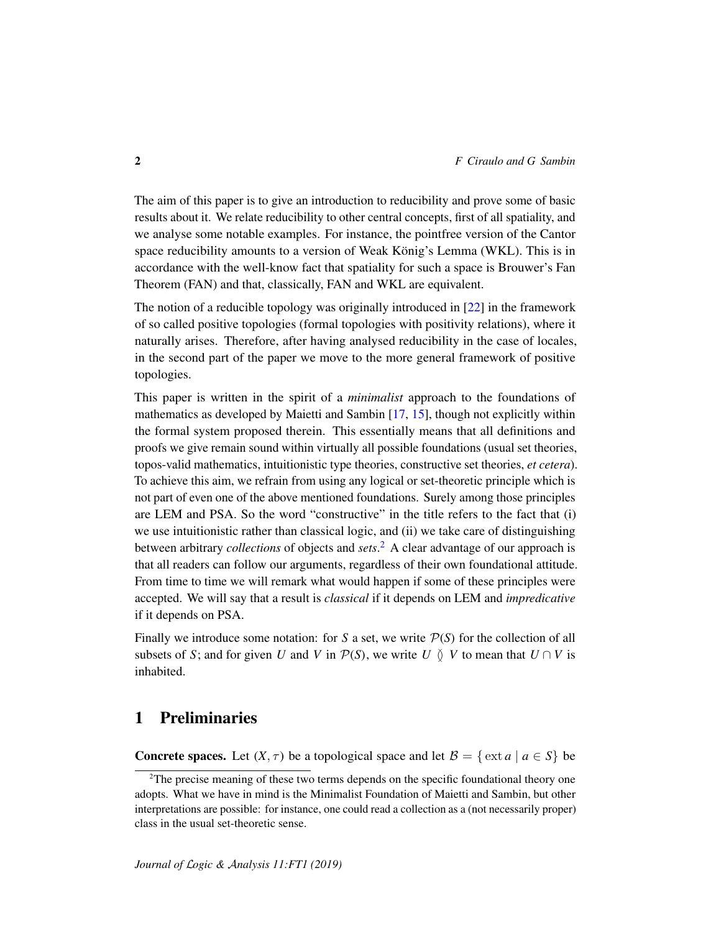The aim of this paper is to give an introduction to reducibility and prove some of basic results about it. We relate reducibility to other central concepts, first of all spatiality, and we analyse some notable examples. For instance, the pointfree version of the Cantor space reducibility amounts to a version of Weak König's Lemma (WKL). This is in accordance with the well-know fact that spatiality for such a space is Brouwer's Fan Theorem (FAN) and that, classically, FAN and WKL are equivalent.

The notion of a reducible topology was originally introduced in [\[22\]](#page-24-0) in the framework of so called positive topologies (formal topologies with positivity relations), where it naturally arises. Therefore, after having analysed reducibility in the case of locales, in the second part of the paper we move to the more general framework of positive topologies.

This paper is written in the spirit of a *minimalist* approach to the foundations of mathematics as developed by Maietti and Sambin [\[17,](#page-24-2) [15\]](#page-24-3), though not explicitly within the formal system proposed therein. This essentially means that all definitions and proofs we give remain sound within virtually all possible foundations (usual set theories, topos-valid mathematics, intuitionistic type theories, constructive set theories, *et cetera*). To achieve this aim, we refrain from using any logical or set-theoretic principle which is not part of even one of the above mentioned foundations. Surely among those principles are LEM and PSA. So the word "constructive" in the title refers to the fact that (i) we use intuitionistic rather than classical logic, and (ii) we take care of distinguishing between arbitrary *collections* of objects and *sets*. [2](#page-1-0) A clear advantage of our approach is that all readers can follow our arguments, regardless of their own foundational attitude. From time to time we will remark what would happen if some of these principles were accepted. We will say that a result is *classical* if it depends on LEM and *impredicative* if it depends on PSA.

Finally we introduce some notation: for *S* a set, we write  $P(S)$  for the collection of all subsets of *S*; and for given *U* and *V* in  $\mathcal{P}(S)$ , we write *U*  $\delta$  *V* to mean that  $U \cap V$  is inhabited.

# 1 Preliminaries

**Concrete spaces.** Let  $(X, \tau)$  be a topological space and let  $\mathcal{B} = \{ \text{ext } a \mid a \in S \}$  be

<span id="page-1-0"></span> $2$ The precise meaning of these two terms depends on the specific foundational theory one adopts. What we have in mind is the Minimalist Foundation of Maietti and Sambin, but other interpretations are possible: for instance, one could read a collection as a (not necessarily proper) class in the usual set-theoretic sense.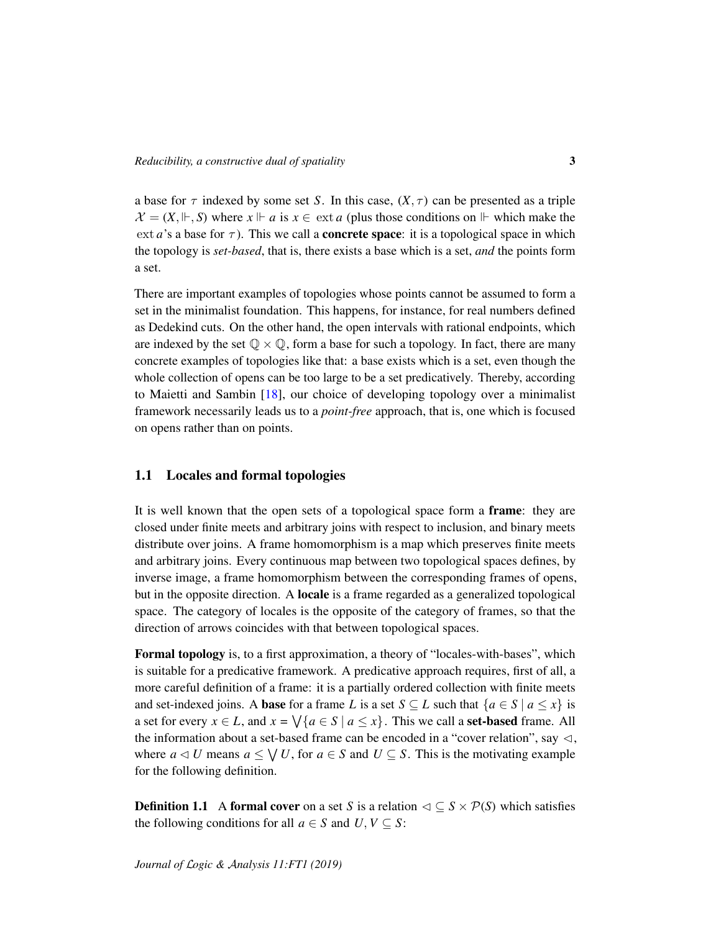a base for  $\tau$  indexed by some set *S*. In this case,  $(X, \tau)$  can be presented as a triple  $\mathcal{X} = (X, \Vdash, S)$  where  $x \Vdash a$  is  $x \in \text{ext } a$  (plus those conditions on  $\Vdash$  which make the ext *a*'s a base for  $\tau$ ). This we call a **concrete space**: it is a topological space in which the topology is *set-based*, that is, there exists a base which is a set, *and* the points form a set.

There are important examples of topologies whose points cannot be assumed to form a set in the minimalist foundation. This happens, for instance, for real numbers defined as Dedekind cuts. On the other hand, the open intervals with rational endpoints, which are indexed by the set  $\mathbb{Q} \times \mathbb{Q}$ , form a base for such a topology. In fact, there are many concrete examples of topologies like that: a base exists which is a set, even though the whole collection of opens can be too large to be a set predicatively. Thereby, according to Maietti and Sambin [\[18\]](#page-24-4), our choice of developing topology over a minimalist framework necessarily leads us to a *point-free* approach, that is, one which is focused on opens rather than on points.

#### 1.1 Locales and formal topologies

It is well known that the open sets of a topological space form a frame: they are closed under finite meets and arbitrary joins with respect to inclusion, and binary meets distribute over joins. A frame homomorphism is a map which preserves finite meets and arbitrary joins. Every continuous map between two topological spaces defines, by inverse image, a frame homomorphism between the corresponding frames of opens, but in the opposite direction. A locale is a frame regarded as a generalized topological space. The category of locales is the opposite of the category of frames, so that the direction of arrows coincides with that between topological spaces.

Formal topology is, to a first approximation, a theory of "locales-with-bases", which is suitable for a predicative framework. A predicative approach requires, first of all, a more careful definition of a frame: it is a partially ordered collection with finite meets and set-indexed joins. A **base** for a frame *L* is a set  $S \subseteq L$  such that  $\{a \in S \mid a \leq x\}$  is a set for every  $x \in L$ , and  $x = \sqrt{\{a \in S \mid a \le x\}}$ . This we call a **set-based** frame. All the information about a set-based frame can be encoded in a "cover relation", say  $\triangleleft$ , where  $a \triangleleft U$  means  $a \leq \bigvee U$ , for  $a \in S$  and  $U \subseteq S$ . This is the motivating example for the following definition.

**Definition 1.1** A formal cover on a set *S* is a relation  $\triangleleft \subseteq S \times P(S)$  which satisfies the following conditions for all  $a \in S$  and  $U, V \subseteq S$ :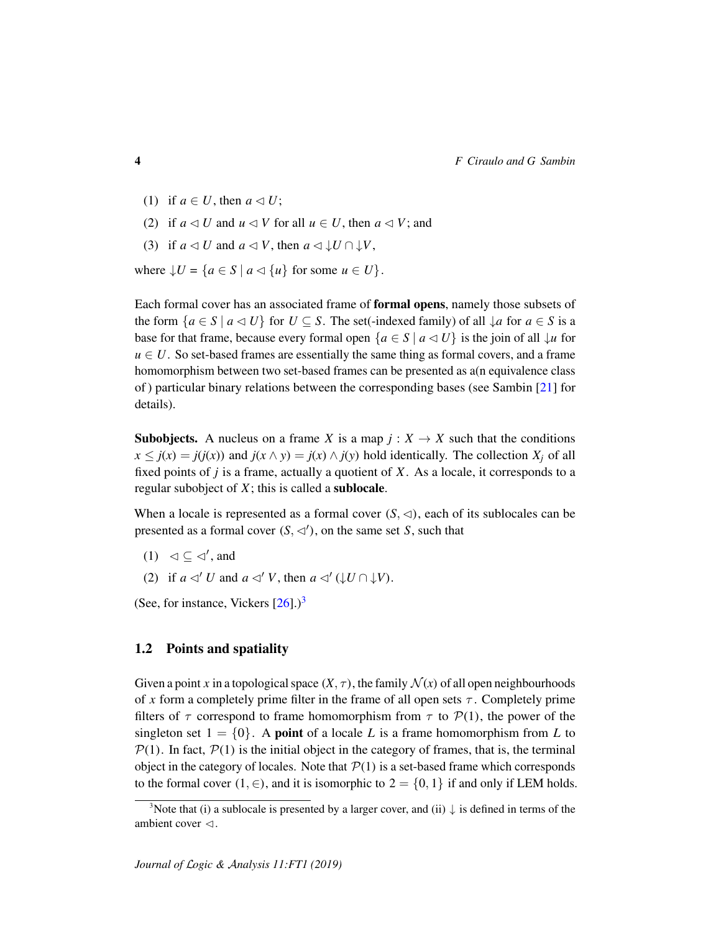- (1) if  $a \in U$ , then  $a \triangleleft U$ ;
- (2) if  $a \leq U$  and  $u \leq V$  for all  $u \in U$ , then  $a \leq V$ ; and
- (3) if  $a \triangleleft U$  and  $a \triangleleft V$ , then  $a \triangleleft \downarrow U \cap \downarrow V$ ,

where  $\downarrow U = \{a \in S \mid a \triangleleft \{u\} \text{ for some } u \in U\}.$ 

Each formal cover has an associated frame of formal opens, namely those subsets of the form  $\{a \in S \mid a \triangleleft U\}$  for  $U \subseteq S$ . The set(-indexed family) of all  $\downarrow a$  for  $a \in S$  is a base for that frame, because every formal open  ${a \in S \mid a \triangleleft U}$  is the join of all  $\downarrow u$  for  $u \in U$ . So set-based frames are essentially the same thing as formal covers, and a frame homomorphism between two set-based frames can be presented as a(n equivalence class of ) particular binary relations between the corresponding bases (see Sambin [\[21\]](#page-24-5) for details).

**Subobjects.** A nucleus on a frame *X* is a map  $j: X \to X$  such that the conditions  $x \leq j(x) = j(j(x))$  and  $j(x \wedge y) = j(x) \wedge j(y)$  hold identically. The collection  $X_i$  of all fixed points of *j* is a frame, actually a quotient of *X*. As a locale, it corresponds to a regular subobject of *X*; this is called a sublocale.

When a locale is represented as a formal cover  $(S, \triangleleft)$ , each of its sublocales can be presented as a formal cover  $(S, \triangleleft')$ , on the same set *S*, such that

- $(1) \leq \leq \leq',$  and
- (2) if  $a \triangleleft' U$  and  $a \triangleleft' V$ , then  $a \triangleleft' (\downarrow U \cap \downarrow V)$ .

(See, for instance, Vickers  $[26]$ .)<sup>[3](#page-3-0)</sup>

#### 1.2 Points and spatiality

Given a point x in a topological space  $(X, \tau)$ , the family  $\mathcal{N}(x)$  of all open neighbourhoods of x form a completely prime filter in the frame of all open sets  $\tau$ . Completely prime filters of  $\tau$  correspond to frame homomorphism from  $\tau$  to  $\mathcal{P}(1)$ , the power of the singleton set  $1 = \{0\}$ . A **point** of a locale L is a frame homomorphism from L to  $P(1)$ . In fact,  $P(1)$  is the initial object in the category of frames, that is, the terminal object in the category of locales. Note that  $P(1)$  is a set-based frame which corresponds to the formal cover  $(1, \in)$ , and it is isomorphic to  $2 = \{0, 1\}$  if and only if LEM holds.

<span id="page-3-0"></span><sup>&</sup>lt;sup>3</sup>Note that (i) a sublocale is presented by a larger cover, and (ii)  $\downarrow$  is defined in terms of the ambient cover  $\triangleleft$ .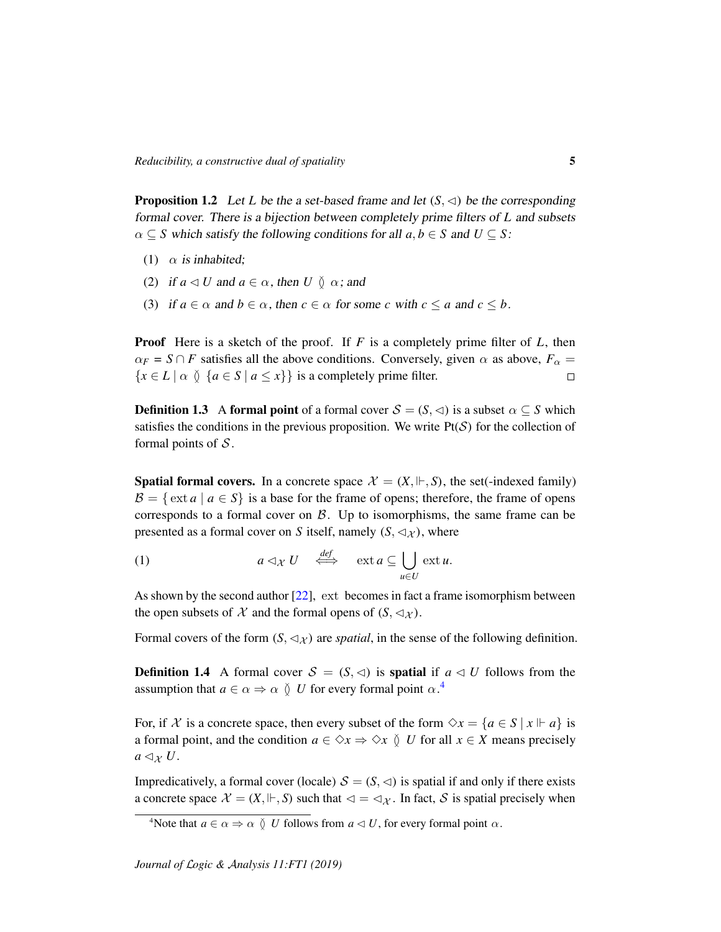<span id="page-4-1"></span>**Proposition 1.2** Let *L* be the a set-based frame and let  $(S, \lhd)$  be the corresponding formal cover. There is a bijection between completely prime filters of *L* and subsets  $\alpha \subseteq S$  which satisfy the following conditions for all  $a, b \in S$  and  $U \subseteq S$ :

- (1)  $\alpha$  is inhabited;
- (2) if  $a \triangleleft U$  and  $a \in \alpha$ , then  $U \circ \alpha$ ; and
- (3) if  $a \in \alpha$  and  $b \in \alpha$ , then  $c \in \alpha$  for some *c* with  $c \le a$  and  $c \le b$ .

Proof Here is a sketch of the proof. If *F* is a completely prime filter of *L*, then  $\alpha_F = S \cap F$  satisfies all the above conditions. Conversely, given  $\alpha$  as above,  $F_\alpha =$  ${x \in L \mid \alpha \in S \mid a \leq x}$  is a completely prime filter.  $\Box$ 

**Definition 1.3** A formal point of a formal cover  $S = (S, \triangleleft)$  is a subset  $\alpha \subseteq S$  which satisfies the conditions in the previous proposition. We write  $Pt(S)$  for the collection of formal points of  $S$ .

**Spatial formal covers.** In a concrete space  $\mathcal{X} = (X, \Vdash, S)$ , the set(-indexed family)  $\mathcal{B} = \{ \text{ext } a \mid a \in S \}$  is a base for the frame of opens; therefore, the frame of opens corresponds to a formal cover on  $\beta$ . Up to isomorphisms, the same frame can be presented as a formal cover on *S* itself, namely  $(S, \triangleleft_{\mathcal{X}})$ , where

<span id="page-4-2"></span>(1) 
$$
a \triangleleft_{\mathcal{X}} U \stackrel{def}{\iff} \text{ext } a \subseteq \bigcup_{u \in U} \text{ext } u.
$$

As shown by the second author [\[22\]](#page-24-0), ext becomes in fact a frame isomorphism between the open subsets of X and the formal opens of  $(S, \lhd_{\mathcal{X}})$ .

Formal covers of the form  $(S, \langle \chi \rangle)$  are *spatial*, in the sense of the following definition.

**Definition 1.4** A formal cover  $S = (S, \triangleleft)$  is **spatial** if  $a \triangleleft U$  follows from the assumption that  $a \in \alpha \Rightarrow \alpha \vee U$  for every formal point  $\alpha$ .<sup>[4](#page-4-0)</sup>

For, if X is a concrete space, then every subset of the form  $\Diamond x = \{a \in S \mid x \Vdash a\}$  is a formal point, and the condition  $a \in \Diamond x \Rightarrow \Diamond x \Diamond U$  for all  $x \in X$  means precisely  $a \triangleleft_{\mathcal{X}} U$ .

Impredicatively, a formal cover (locale)  $S = (S, \leq)$  is spatial if and only if there exists a concrete space  $\mathcal{X} = (X, \Vdash, S)$  such that  $\lhd = \lhd \chi$ . In fact, S is spatial precisely when

<span id="page-4-0"></span><sup>&</sup>lt;sup>4</sup>Note that  $a \in \alpha \Rightarrow \alpha \in U$  follows from  $a \triangleleft U$ , for every formal point  $\alpha$ .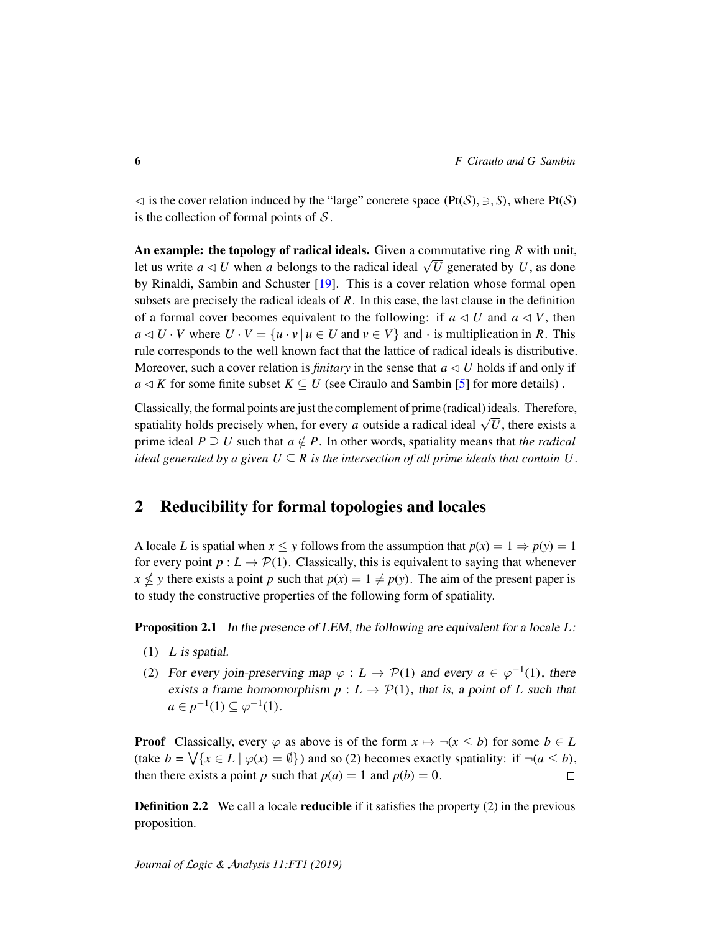$\leq$  is the cover relation induced by the "large" concrete space (Pt(S),  $\Rightarrow$ , S), where Pt(S) is the collection of formal points of  $S$ .

An example: the topology of radical ideals. Given a commutative ring *R* with unit, An example. The topology of Faultar ideals. Given a commutative ring K with thing<br>let us write  $a \triangleleft U$  when a belongs to the radical ideal  $\sqrt{U}$  generated by U, as done by Rinaldi, Sambin and Schuster [\[19\]](#page-24-1). This is a cover relation whose formal open subsets are precisely the radical ideals of *R*. In this case, the last clause in the definition of a formal cover becomes equivalent to the following: if  $a \triangleleft U$  and  $a \triangleleft V$ , then  $a \triangleleft U \cdot V$  where  $U \cdot V = \{u \cdot v \mid u \in U \text{ and } v \in V\}$  and  $\cdot$  is multiplication in *R*. This rule corresponds to the well known fact that the lattice of radical ideals is distributive. Moreover, such a cover relation is *finitary* in the sense that  $a \triangleleft U$  holds if and only if  $a \triangleleft K$  for some finite subset  $K \subseteq U$  (see Ciraulo and Sambin [\[5\]](#page-23-0) for more details).

Classically, the formal points are just the complement of prime (radical) ideals. Therefore,  $\alpha$  crassicarity, the formal points are just the complement of prime (radical) ideals. Therefore, spatiality holds precisely when, for every *a* outside a radical ideal  $\sqrt{U}$ , there exists a prime ideal  $P \supset U$  such that  $a \notin P$ . In other words, spatiality means that *the radical ideal generated by a given*  $U \subseteq R$  *is the intersection of all prime ideals that contain U.* 

# 2 Reducibility for formal topologies and locales

A locale *L* is spatial when  $x \le y$  follows from the assumption that  $p(x) = 1 \Rightarrow p(y) = 1$ for every point  $p: L \to \mathcal{P}(1)$ . Classically, this is equivalent to saying that whenever  $x \nleq y$  there exists a point *p* such that  $p(x) = 1 \neq p(y)$ . The aim of the present paper is to study the constructive properties of the following form of spatiality.

<span id="page-5-0"></span>Proposition 2.1 In the presence of LEM, the following are equivalent for a locale *L*:

- (1) *L* is spatial.
- (2) For every join-preserving map  $\varphi: L \to \mathcal{P}(1)$  and every  $a \in \varphi^{-1}(1)$ , there exists a frame homomorphism  $p: L \to \mathcal{P}(1)$ , that is, a point of *L* such that  $a \in p^{-1}(1) \subseteq \varphi^{-1}(1)$ .

**Proof** Classically, every  $\varphi$  as above is of the form  $x \mapsto \neg(x \leq b)$  for some  $b \in L$ (take  $b = \bigvee \{x \in L \mid \varphi(x) = \emptyset\}$ ) and so (2) becomes exactly spatiality: if  $\neg (a \leq b)$ , then there exists a point *p* such that  $p(a) = 1$  and  $p(b) = 0$ .  $\Box$ 

**Definition 2.2** We call a locale **reducible** if it satisfies the property  $(2)$  in the previous proposition.

*Journal of* L*ogic &* A*nalysis 11:FT1 (2019)*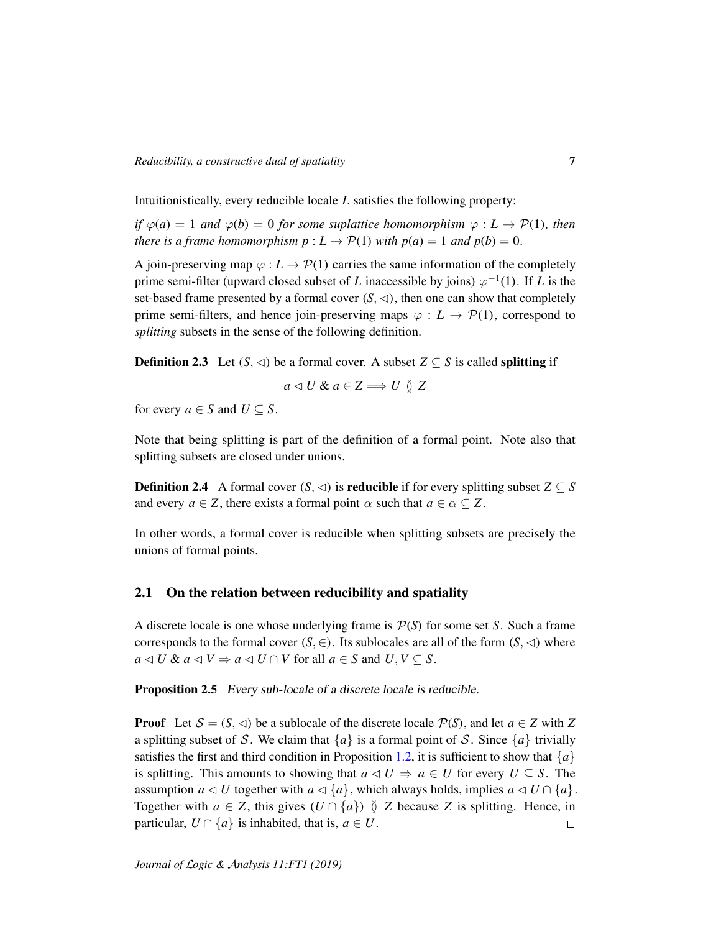Intuitionistically, every reducible locale *L* satisfies the following property:

*if*  $\varphi(a) = 1$  *and*  $\varphi(b) = 0$  *for some suplattice homomorphism*  $\varphi : L \to \mathcal{P}(1)$ *, then there is a frame homomorphism*  $p: L \to \mathcal{P}(1)$  *with*  $p(a) = 1$  *and*  $p(b) = 0$ *.* 

A join-preserving map  $\varphi : L \to \mathcal{P}(1)$  carries the same information of the completely prime semi-filter (upward closed subset of *L* inaccessible by joins)  $\varphi^{-1}(1)$ . If *L* is the set-based frame presented by a formal cover  $(S, \lhd)$ , then one can show that completely prime semi-filters, and hence join-preserving maps  $\varphi : L \to \mathcal{P}(1)$ , correspond to *splitting* subsets in the sense of the following definition.

<span id="page-6-0"></span>**Definition 2.3** Let  $(S, \triangleleft)$  be a formal cover. A subset  $Z \subseteq S$  is called splitting if

$$
a \triangleleft U \& a \in Z \Longrightarrow U \vee Z
$$

for every  $a \in S$  and  $U \subseteq S$ .

Note that being splitting is part of the definition of a formal point. Note also that splitting subsets are closed under unions.

<span id="page-6-1"></span>**Definition 2.4** A formal cover  $(S, \triangleleft)$  is **reducible** if for every splitting subset  $Z \subseteq S$ and every  $a \in Z$ , there exists a formal point  $\alpha$  such that  $a \in \alpha \subseteq Z$ .

In other words, a formal cover is reducible when splitting subsets are precisely the unions of formal points.

#### <span id="page-6-2"></span>2.1 On the relation between reducibility and spatiality

A discrete locale is one whose underlying frame is P(*S*) for some set *S*. Such a frame corresponds to the formal cover  $(S, \in)$ . Its sublocales are all of the form  $(S, \triangleleft)$  where  $a \triangleleft U$  &  $a \triangleleft V \Rightarrow a \triangleleft U \cap V$  for all  $a \in S$  and  $U, V \subseteq S$ .

**Proposition 2.5** Every sub-locale of a discrete locale is reducible.

**Proof** Let  $S = (S, \lhd)$  be a sublocale of the discrete locale  $P(S)$ , and let  $a \in Z$  with Z a splitting subset of S. We claim that  $\{a\}$  is a formal point of S. Since  $\{a\}$  trivially satisfies the first and third condition in Proposition [1.2,](#page-4-1) it is sufficient to show that  ${a}$ is splitting. This amounts to showing that  $a \triangleleft U \Rightarrow a \in U$  for every  $U \subseteq S$ . The assumption *a*  $\triangleleft U$  together with *a*  $\triangleleft \{a\}$ , which always holds, implies *a*  $\triangleleft U \cap \{a\}$ . Together with  $a \in Z$ , this gives  $(U \cap \{a\}) \circ Z$  because *Z* is splitting. Hence, in particular,  $U \cap \{a\}$  is inhabited, that is,  $a \in U$ .  $\Box$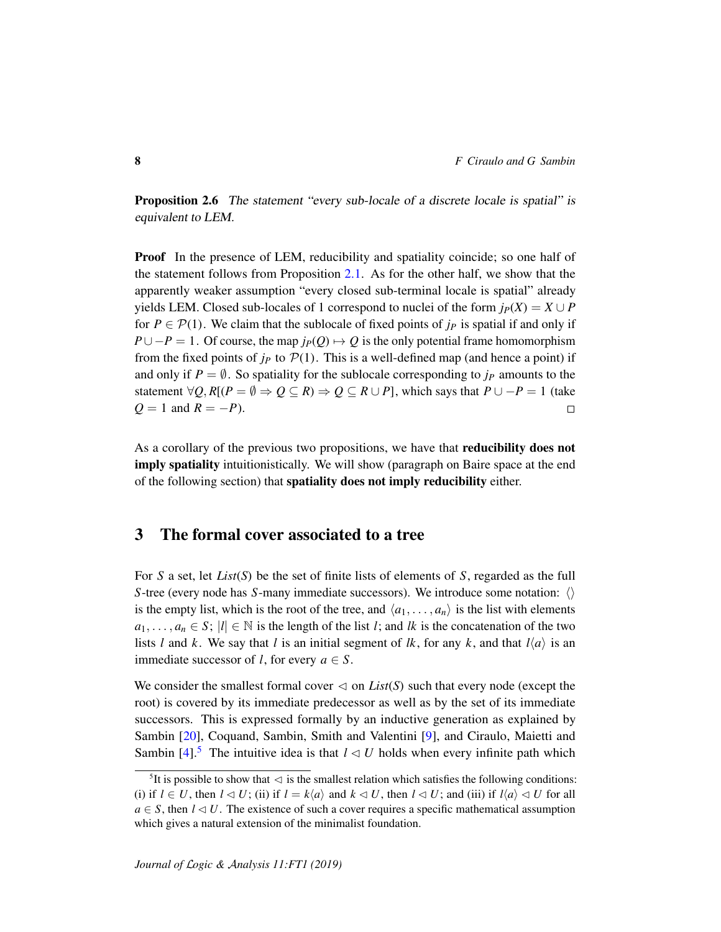Proposition 2.6 The statement "every sub-locale of a discrete locale is spatial" is equivalent to LEM.

Proof In the presence of LEM, reducibility and spatiality coincide; so one half of the statement follows from Proposition [2.1.](#page-5-0) As for the other half, we show that the apparently weaker assumption "every closed sub-terminal locale is spatial" already yields LEM. Closed sub-locales of 1 correspond to nuclei of the form  $j_P(X) = X \cup P$ for  $P \in \mathcal{P}(1)$ . We claim that the sublocale of fixed points of  $j_P$  is spatial if and only if  $P \cup -P = 1$ . Of course, the map  $j_P(Q) \mapsto Q$  is the only potential frame homomorphism from the fixed points of  $j_p$  to  $\mathcal{P}(1)$ . This is a well-defined map (and hence a point) if and only if  $P = \emptyset$ . So spatiality for the sublocale corresponding to  $j<sub>P</sub>$  amounts to the statement  $\forall Q, R[(P = \emptyset \Rightarrow Q \subseteq R) \Rightarrow Q \subseteq R \cup P]$ , which says that  $P \cup -P = 1$  (take  $Q = 1$  and  $R = -P$ ).  $\Box$ 

As a corollary of the previous two propositions, we have that reducibility does not imply spatiality intuitionistically. We will show (paragraph on Baire space at the end of the following section) that spatiality does not imply reducibility either.

## <span id="page-7-1"></span>3 The formal cover associated to a tree

For *S* a set, let *List*(*S*) be the set of finite lists of elements of *S*, regarded as the full *S*-tree (every node has *S*-many immediate successors). We introduce some notation:  $\langle \rangle$ is the empty list, which is the root of the tree, and  $\langle a_1, \ldots, a_n \rangle$  is the list with elements  $a_1, \ldots, a_n \in S$ ;  $|l| \in \mathbb{N}$  is the length of the list *l*; and *lk* is the concatenation of the two lists *l* and *k*. We say that *l* is an initial segment of *lk*, for any *k*, and that  $l\langle a \rangle$  is an immediate successor of *l*, for every  $a \in S$ .

We consider the smallest formal cover  $\triangleleft$  on *List*(*S*) such that every node (except the root) is covered by its immediate predecessor as well as by the set of its immediate successors. This is expressed formally by an inductive generation as explained by Sambin [\[20\]](#page-24-7), Coquand, Sambin, Smith and Valentini [\[9\]](#page-23-1), and Ciraulo, Maietti and Sambin  $[4]$ <sup>[5](#page-7-0)</sup>. The intuitive idea is that  $l \leq U$  holds when every infinite path which

<span id="page-7-0"></span><sup>&</sup>lt;sup>5</sup>It is possible to show that  $\triangleleft$  is the smallest relation which satisfies the following conditions: (i) if  $l \in U$ , then  $l \lhd U$ ; (ii) if  $l = k \langle a \rangle$  and  $k \lhd U$ , then  $l \lhd U$ ; and (iii) if  $l \langle a \rangle \lhd U$  for all  $a \in S$ , then  $l \triangleleft U$ . The existence of such a cover requires a specific mathematical assumption which gives a natural extension of the minimalist foundation.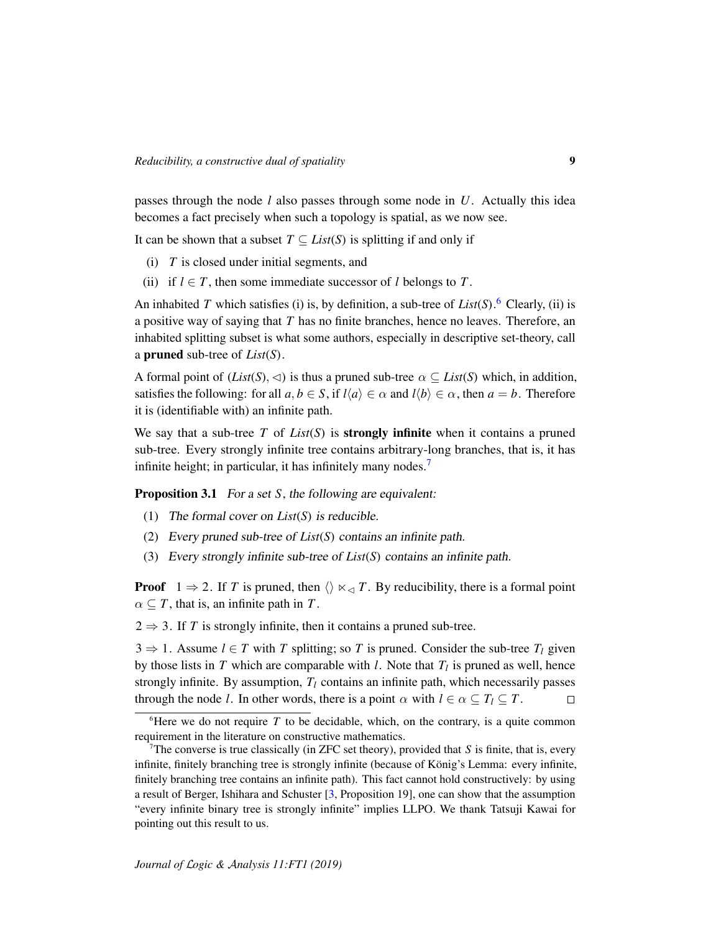passes through the node *l* also passes through some node in *U*. Actually this idea becomes a fact precisely when such a topology is spatial, as we now see.

It can be shown that a subset  $T \subseteq List(S)$  is splitting if and only if

- (i) *T* is closed under initial segments, and
- (ii) if  $l \in T$ , then some immediate successor of *l* belongs to *T*.

An inhabited *T* which satisfies (i) is, by definition, a sub-tree of *List*(*S*).<sup>[6](#page-8-0)</sup> Clearly, (ii) is a positive way of saying that *T* has no finite branches, hence no leaves. Therefore, an inhabited splitting subset is what some authors, especially in descriptive set-theory, call a pruned sub-tree of *List*(*S*).

A formal point of (*List*(*S*),  $\triangleleft$ ) is thus a pruned sub-tree  $\alpha \subseteq List(S)$  which, in addition, satisfies the following: for all  $a, b \in S$ , if  $l\langle a \rangle \in \alpha$  and  $l\langle b \rangle \in \alpha$ , then  $a = b$ . Therefore it is (identifiable with) an infinite path.

We say that a sub-tree  $T$  of  $List(S)$  is **strongly infinite** when it contains a pruned sub-tree. Every strongly infinite tree contains arbitrary-long branches, that is, it has infinite height; in particular, it has infinitely many nodes.<sup>[7](#page-8-1)</sup>

<span id="page-8-2"></span>Proposition 3.1 For a set *S*, the following are equivalent:

- (1) The formal cover on *List*(*S*) is reducible.
- (2) Every pruned sub-tree of *List*(*S*) contains an infinite path.
- (3) Every strongly infinite sub-tree of *List*(*S*) contains an infinite path.

**Proof**  $1 \Rightarrow 2$ . If *T* is pruned, then  $\langle \rangle \times \langle T \rangle$ . By reducibility, there is a formal point  $\alpha \subseteq T$ , that is, an infinite path in *T*.

 $2 \Rightarrow 3$ . If *T* is strongly infinite, then it contains a pruned sub-tree.

 $3 \Rightarrow 1$ . Assume  $l \in T$  with *T* splitting; so *T* is pruned. Consider the sub-tree  $T_l$  given by those lists in  $T$  which are comparable with  $l$ . Note that  $T_l$  is pruned as well, hence strongly infinite. By assumption,  $T_l$  contains an infinite path, which necessarily passes through the node *l*. In other words, there is a point  $\alpha$  with  $l \in \alpha \subseteq T_l \subseteq T$ .  $\Box$ 

<span id="page-8-0"></span><sup>&</sup>lt;sup>6</sup>Here we do not require  $T$  to be decidable, which, on the contrary, is a quite common requirement in the literature on constructive mathematics.

<span id="page-8-1"></span><sup>&</sup>lt;sup>7</sup>The converse is true classically (in ZFC set theory), provided that  $S$  is finite, that is, every infinite, finitely branching tree is strongly infinite (because of König's Lemma: every infinite, finitely branching tree contains an infinite path). This fact cannot hold constructively: by using a result of Berger, Ishihara and Schuster [\[3,](#page-23-3) Proposition 19], one can show that the assumption "every infinite binary tree is strongly infinite" implies LLPO. We thank Tatsuji Kawai for pointing out this result to us.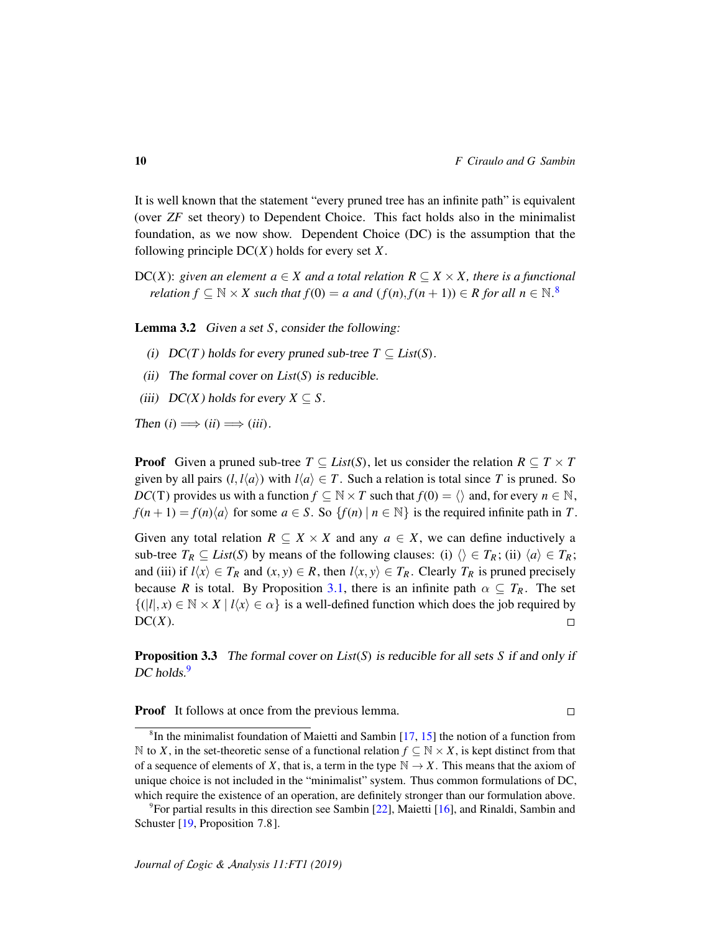$\Box$ 

It is well known that the statement "every pruned tree has an infinite path" is equivalent (over *ZF* set theory) to Dependent Choice. This fact holds also in the minimalist foundation, as we now show. Dependent Choice (DC) is the assumption that the following principle DC(*X*) holds for every set *X*.

DC(*X*): *given an element a*  $\in$  *X and a total relation R*  $\subseteq$  *X*  $\times$  *X*, *there is a functional relation*  $f \subseteq \mathbb{N} \times X$  such that  $f(0) = a$  and  $(f(n), f(n + 1)) \in R$  for all  $n \in \mathbb{N}$ .<sup>[8](#page-9-0)</sup>

Lemma 3.2 Given a set *S*, consider the following:

- (i)  $DC(T)$  holds for every pruned sub-tree  $T \subseteq List(S)$ .
- (ii) The formal cover on *List*(*S*) is reducible.
- (iii)  $DC(X)$  holds for every  $X \subseteq S$ .

Then  $(i) \Longrightarrow (ii) \Longrightarrow (iii)$ .

**Proof** Given a pruned sub-tree  $T \subseteq List(S)$ , let us consider the relation  $R \subseteq T \times T$ given by all pairs  $(l, l\langle a \rangle)$  with  $l\langle a \rangle \in T$ . Such a relation is total since *T* is pruned. So *DC*(T) provides us with a function  $f \subseteq \mathbb{N} \times T$  such that  $f(0) = \langle \rangle$  and, for every  $n \in \mathbb{N}$ ,  $f(n+1) = f(n)\langle a \rangle$  for some  $a \in S$ . So  $\{f(n) | n \in \mathbb{N}\}\$ is the required infinite path in *T*.

Given any total relation  $R \subseteq X \times X$  and any  $a \in X$ , we can define inductively a sub-tree  $T_R \subseteq List(S)$  by means of the following clauses: (i)  $\langle \rangle \in T_R$ ; (ii)  $\langle a \rangle \in T_R$ ; and (iii) if  $l\langle x \rangle \in T_R$  and  $(x, y) \in R$ , then  $l\langle x, y \rangle \in T_R$ . Clearly  $T_R$  is pruned precisely because *R* is total. By Proposition [3.1,](#page-8-2) there is an infinite path  $\alpha \subseteq T_R$ . The set  $\{(|l|, x) \in \mathbb{N} \times X \mid l\langle x \rangle \in \alpha\}$  is a well-defined function which does the job required by  $DC(X)$ .  $\Box$ 

Proposition 3.3 The formal cover on *List*(*S*) is reducible for all sets *S* if and only if DC holds.<sup>[9](#page-9-1)</sup>

**Proof** It follows at once from the previous lemma.

<span id="page-9-0"></span><sup>&</sup>lt;sup>8</sup>In the minimalist foundation of Maietti and Sambin [\[17,](#page-24-2) [15\]](#page-24-3) the notion of a function from N to *X*, in the set-theoretic sense of a functional relation *f* ⊆ N  $\times$  *X*, is kept distinct from that of a sequence of elements of *X*, that is, a term in the type  $\mathbb{N} \to X$ . This means that the axiom of unique choice is not included in the "minimalist" system. Thus common formulations of DC, which require the existence of an operation, are definitely stronger than our formulation above.

<span id="page-9-1"></span> $9$ For partial results in this direction see Sambin [\[22\]](#page-24-0), Maietti [\[16\]](#page-24-8), and Rinaldi, Sambin and Schuster [\[19,](#page-24-1) Proposition 7.8].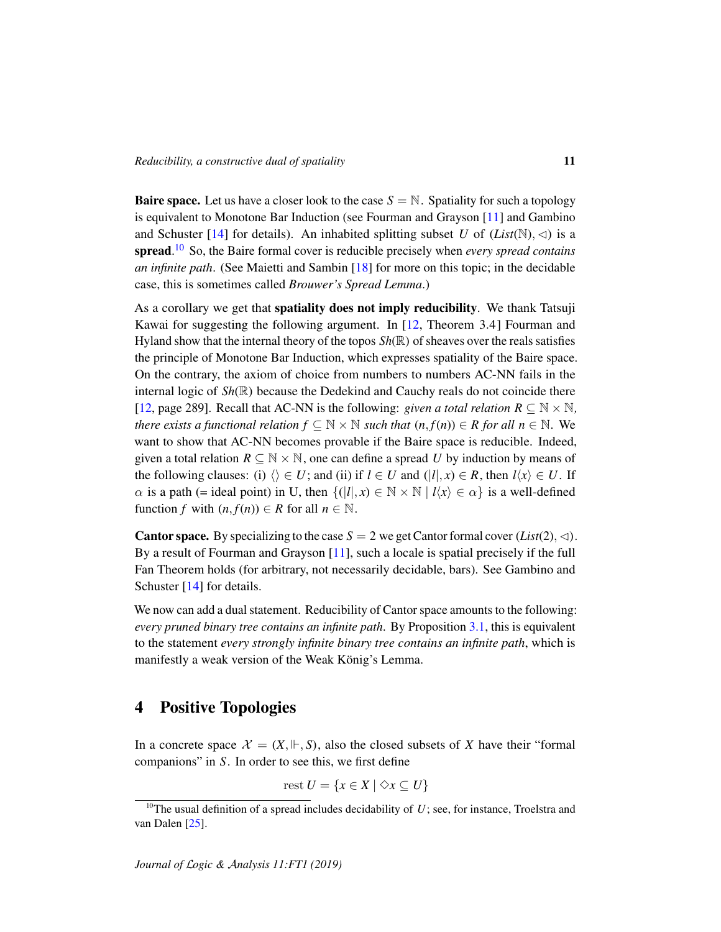**Baire space.** Let us have a closer look to the case  $S = N$ . Spatiality for such a topology is equivalent to Monotone Bar Induction (see Fourman and Grayson [\[11\]](#page-24-9) and Gambino and Schuster [\[14\]](#page-24-10) for details). An inhabited splitting subset *U* of  $(List(N), \triangleleft)$  is a spread. [10](#page-10-0) So, the Baire formal cover is reducible precisely when *every spread contains an infinite path*. (See Maietti and Sambin [\[18\]](#page-24-4) for more on this topic; in the decidable case, this is sometimes called *Brouwer's Spread Lemma*.)

As a corollary we get that **spatiality does not imply reducibility**. We thank Tatsuji Kawai for suggesting the following argument. In [\[12,](#page-24-11) Theorem 3.4] Fourman and Hyland show that the internal theory of the topos *Sh*(R) of sheaves over the reals satisfies the principle of Monotone Bar Induction, which expresses spatiality of the Baire space. On the contrary, the axiom of choice from numbers to numbers AC-NN fails in the internal logic of *Sh*(R) because the Dedekind and Cauchy reals do not coincide there [\[12,](#page-24-11) page 289]. Recall that AC-NN is the following: *given a total relation*  $R \subseteq \mathbb{N} \times \mathbb{N}$ , *there exists a functional relation*  $f \subseteq \mathbb{N} \times \mathbb{N}$  *such that*  $(n, f(n)) \in R$  *for all*  $n \in \mathbb{N}$ *.* We want to show that AC-NN becomes provable if the Baire space is reducible. Indeed, given a total relation  $R \subseteq \mathbb{N} \times \mathbb{N}$ , one can define a spread *U* by induction by means of the following clauses: (i)  $\langle \rangle \in U$ ; and (ii) if  $l \in U$  and  $(|l|, x) \in R$ , then  $l\langle x \rangle \in U$ . If  $\alpha$  is a path (= ideal point) in U, then  $\{(|l|, x) \in \mathbb{N} \times \mathbb{N} \mid l\langle x \rangle \in \alpha\}$  is a well-defined function *f* with  $(n, f(n)) \in R$  for all  $n \in \mathbb{N}$ .

**Cantor space.** By specializing to the case  $S = 2$  we get Cantor formal cover  $(List(2), \triangleleft)$ . By a result of Fourman and Grayson [\[11\]](#page-24-9), such a locale is spatial precisely if the full Fan Theorem holds (for arbitrary, not necessarily decidable, bars). See Gambino and Schuster [\[14\]](#page-24-10) for details.

We now can add a dual statement. Reducibility of Cantor space amounts to the following: *every pruned binary tree contains an infinite path*. By Proposition [3.1,](#page-8-2) this is equivalent to the statement *every strongly infinite binary tree contains an infinite path*, which is manifestly a weak version of the Weak König's Lemma.

# 4 Positive Topologies

In a concrete space  $\mathcal{X} = (X, \Vdash, S)$ , also the closed subsets of X have their "formal" companions" in *S*. In order to see this, we first define

$$
rest U = \{ x \in X \mid \Diamond x \subseteq U \}
$$

<span id="page-10-0"></span><sup>&</sup>lt;sup>10</sup>The usual definition of a spread includes decidability of  $U$ ; see, for instance, Troelstra and van Dalen [\[25\]](#page-24-12).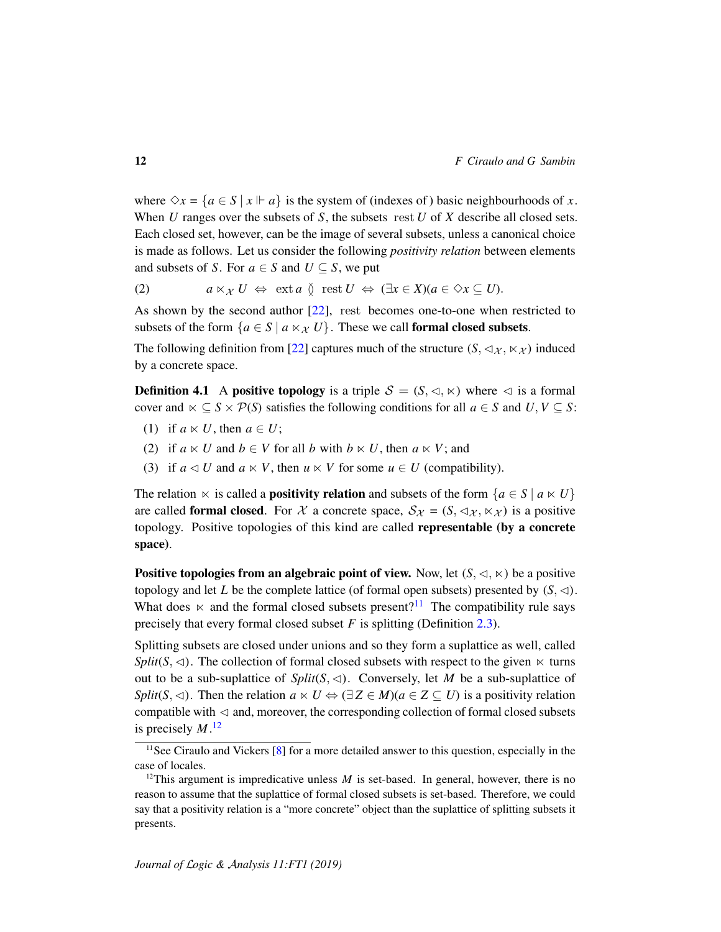where  $\Diamond x = \{a \in S \mid x \Vdash a\}$  is the system of (indexes of) basic neighbourhoods of *x*. When *U* ranges over the subsets of *S*, the subsets rest *U* of *X* describe all closed sets. Each closed set, however, can be the image of several subsets, unless a canonical choice is made as follows. Let us consider the following *positivity relation* between elements and subsets of *S*. For  $a \in S$  and  $U \subseteq S$ , we put

<span id="page-11-3"></span>(2) 
$$
a \ltimes_{\mathcal{X}} U \Leftrightarrow \text{ext } a \circled{ \text{ } \text{rest } U \Leftrightarrow (\exists x \in X)(a \in \Diamond x \subseteq U).
$$

As shown by the second author [\[22\]](#page-24-0), rest becomes one-to-one when restricted to subsets of the form  $\{a \in S \mid a \times \mathcal{X} \cup \}$ . These we call **formal closed subsets.** 

The following definition from [\[22\]](#page-24-0) captures much of the structure  $(S, \lhd_{\mathcal{X}}, \lhd_{\mathcal{X}})$  induced by a concrete space.

<span id="page-11-2"></span>**Definition 4.1** A positive topology is a triple  $S = (S, \langle \cdot, \times \rangle)$  where  $\langle \cdot \rangle$  is a formal cover and  $\ltimes \subseteq S \times \mathcal{P}(S)$  satisfies the following conditions for all  $a \in S$  and  $U, V \subseteq S$ :

- (1) if  $a \ltimes U$ , then  $a \in U$ ;
- (2) if  $a \ltimes U$  and  $b \in V$  for all *b* with  $b \ltimes U$ , then  $a \ltimes V$ ; and
- (3) if  $a \triangleleft U$  and  $a \ltimes V$ , then  $u \ltimes V$  for some  $u \in U$  (compatibility).

The relation  $\ltimes$  is called a **positivity relation** and subsets of the form  $\{a \in S \mid a \ltimes U\}$ are called **formal closed**. For X a concrete space,  $S_{\mathcal{X}} = (S, \triangleleft_{\mathcal{X}}, \ltimes_{\mathcal{X}})$  is a positive topology. Positive topologies of this kind are called representable (by a concrete space).

**Positive topologies from an algebraic point of view.** Now, let  $(S, \lhd, \lhd)$  be a positive topology and let *L* be the complete lattice (of formal open subsets) presented by  $(S, \triangleleft)$ . What does  $\ltimes$  and the formal closed subsets present?<sup>[11](#page-11-0)</sup> The compatibility rule says precisely that every formal closed subset *F* is splitting (Definition [2.3\)](#page-6-0).

Splitting subsets are closed under unions and so they form a suplattice as well, called *Split*( $S$ ,  $\triangleleft$ ). The collection of formal closed subsets with respect to the given  $\ltimes$  turns out to be a sub-suplattice of  $Split(S, \triangleleft)$ . Conversely, let *M* be a sub-suplattice of *Split*(*S*,  $\triangleleft$ ). Then the relation  $a \ltimes U \Leftrightarrow (\exists Z \in M)(a \in Z \subseteq U)$  is a positivity relation compatible with  $\triangleleft$  and, moreover, the corresponding collection of formal closed subsets is precisely *M*. [12](#page-11-1)

<span id="page-11-0"></span><sup>&</sup>lt;sup>11</sup>See Ciraulo and Vickers [\[8\]](#page-23-4) for a more detailed answer to this question, especially in the case of locales.

<span id="page-11-1"></span><sup>&</sup>lt;sup>12</sup>This argument is impredicative unless  $M$  is set-based. In general, however, there is no reason to assume that the suplattice of formal closed subsets is set-based. Therefore, we could say that a positivity relation is a "more concrete" object than the suplattice of splitting subsets it presents.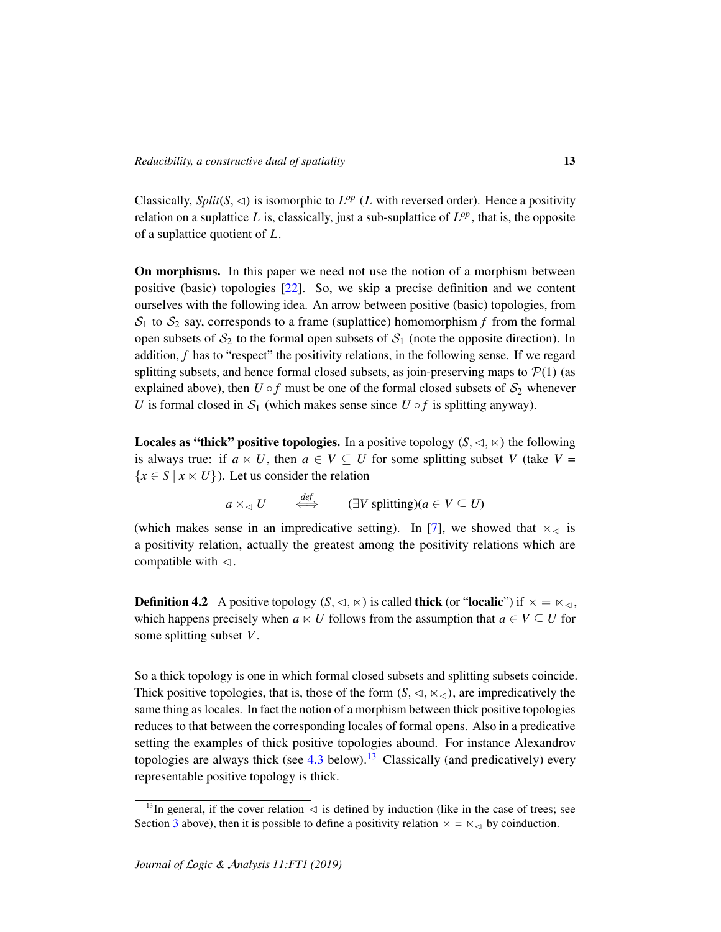Classically, *Split*( $S$ ,  $\triangleleft$ ) is isomorphic to  $L^{op}$  (*L* with reversed order). Hence a positivity relation on a suplattice  $L$  is, classically, just a sub-suplattice of  $L^{op}$ , that is, the opposite of a suplattice quotient of *L*.

On morphisms. In this paper we need not use the notion of a morphism between positive (basic) topologies [\[22\]](#page-24-0). So, we skip a precise definition and we content ourselves with the following idea. An arrow between positive (basic) topologies, from  $S_1$  to  $S_2$  say, corresponds to a frame (suplattice) homomorphism  $f$  from the formal open subsets of  $S_2$  to the formal open subsets of  $S_1$  (note the opposite direction). In addition, *f* has to "respect" the positivity relations, in the following sense. If we regard splitting subsets, and hence formal closed subsets, as join-preserving maps to  $P(1)$  (as explained above), then  $U \circ f$  must be one of the formal closed subsets of  $S_2$  whenever *U* is formal closed in  $S_1$  (which makes sense since  $U \circ f$  is splitting anyway).

**Locales as "thick" positive topologies.** In a positive topology  $(S, \triangleleft, \ltimes)$  the following is always true: if  $a \ltimes U$ , then  $a \in V \subseteq U$  for some splitting subset *V* (take *V* =  ${x \in S \mid x \times U}$ ). Let us consider the relation

$$
a \ltimes_{\lhd} U \qquad \stackrel{def}{\iff} \qquad (\exists V \text{ splitting})(a \in V \subseteq U)
$$

(which makes sense in an impredicative setting). In [\[7\]](#page-23-5), we showed that  $\ltimes_{\leq}$  is a positivity relation, actually the greatest among the positivity relations which are compatible with  $\triangleleft$ .

**Definition 4.2** A positive topology  $(S, \lhd, \kappa)$  is called **thick** (or "**localic**") if  $\kappa = \kappa_{\lhd}$ , which happens precisely when  $a \lt U$  follows from the assumption that  $a \in V \subseteq U$  for some splitting subset *V*.

So a thick topology is one in which formal closed subsets and splitting subsets coincide. Thick positive topologies, that is, those of the form  $(S, \leq, \ltimes_{\leq})$ , are impredicatively the same thing as locales. In fact the notion of a morphism between thick positive topologies reduces to that between the corresponding locales of formal opens. Also in a predicative setting the examples of thick positive topologies abound. For instance Alexandrov topologies are always thick (see  $4.3$  below).<sup>[13](#page-12-0)</sup> Classically (and predicatively) every representable positive topology is thick.

<span id="page-12-0"></span><sup>&</sup>lt;sup>13</sup>In general, if the cover relation  $\triangleleft$  is defined by induction (like in the case of trees; see Section [3](#page-7-1) above), then it is possible to define a positivity relation  $\kappa = \kappa_{\leq 0}$  by coinduction.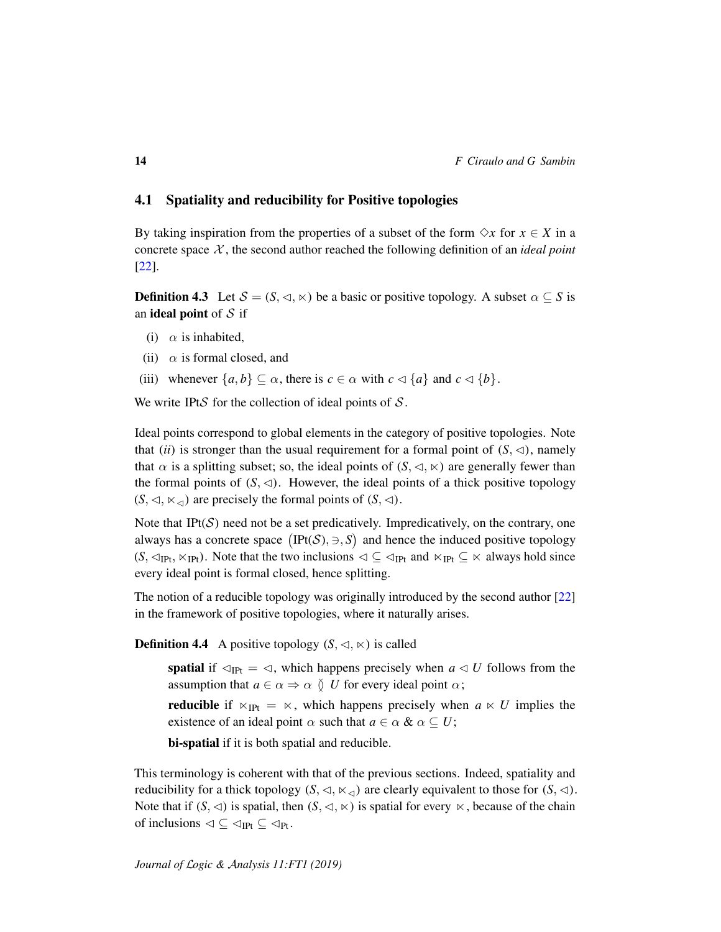#### <span id="page-13-0"></span>4.1 Spatiality and reducibility for Positive topologies

By taking inspiration from the properties of a subset of the form  $\Diamond x$  for  $x \in X$  in a concrete space  $X$ , the second author reached the following definition of an *ideal point* [\[22\]](#page-24-0).

**Definition 4.3** Let  $S = (S, \triangleleft, \ltimes)$  be a basic or positive topology. A subset  $\alpha \subseteq S$  is an **ideal point** of  $S$  if

- (i)  $\alpha$  is inhabited,
- (ii)  $\alpha$  is formal closed, and
- (iii) whenever  $\{a, b\} \subseteq \alpha$ , there is  $c \in \alpha$  with  $c \triangleleft \{a\}$  and  $c \triangleleft \{b\}$ .

We write IPtS for the collection of ideal points of  $S$ .

Ideal points correspond to global elements in the category of positive topologies. Note that (*ii*) is stronger than the usual requirement for a formal point of  $(S, \triangleleft)$ , namely that  $\alpha$  is a splitting subset; so, the ideal points of  $(S, \triangleleft, \ltimes)$  are generally fewer than the formal points of  $(S, \triangleleft)$ . However, the ideal points of a thick positive topology  $(S, \triangleleft, \ltimes_{\triangleleft})$  are precisely the formal points of  $(S, \triangleleft)$ .

Note that IPt $(S)$  need not be a set predicatively. Impredicatively, on the contrary, one always has a concrete space  $(IFt(S), \ni, S)$  and hence the induced positive topology  $(S, \lhd_{\text{IPt}}, \lhd_{\text{IPt}})$ . Note that the two inclusions  $\lhd \subseteq \lhd_{\text{IPt}}$  and  $\lhd_{\text{IPt}} \subseteq \lhd$  always hold since every ideal point is formal closed, hence splitting.

The notion of a reducible topology was originally introduced by the second author [\[22\]](#page-24-0) in the framework of positive topologies, where it naturally arises.

**Definition 4.4** A positive topology  $(S, \lhd, \lhd)$  is called

spatial if  $\triangleleft_{\text{IPt}} = \triangleleft$ , which happens precisely when  $a \triangleleft U$  follows from the assumption that  $a \in \alpha \Rightarrow \alpha \circ U$  for every ideal point  $\alpha$ ;

**reducible** if  $\kappa_{\text{IPt}} = \kappa$ , which happens precisely when  $a \kappa U$  implies the existence of an ideal point  $\alpha$  such that  $a \in \alpha \& \alpha \subseteq U$ ;

bi-spatial if it is both spatial and reducible.

This terminology is coherent with that of the previous sections. Indeed, spatiality and reducibility for a thick topology  $(S, \lhd, \lhd, \lhd)$  are clearly equivalent to those for  $(S, \lhd)$ . Note that if  $(S, \triangleleft)$  is spatial, then  $(S, \triangleleft, \ltimes)$  is spatial for every  $\ltimes$ , because of the chain of inclusions  $\triangleleft \subseteq \triangleleft_{\text{Pt}} \subseteq \triangleleft_{\text{Pt}}$ .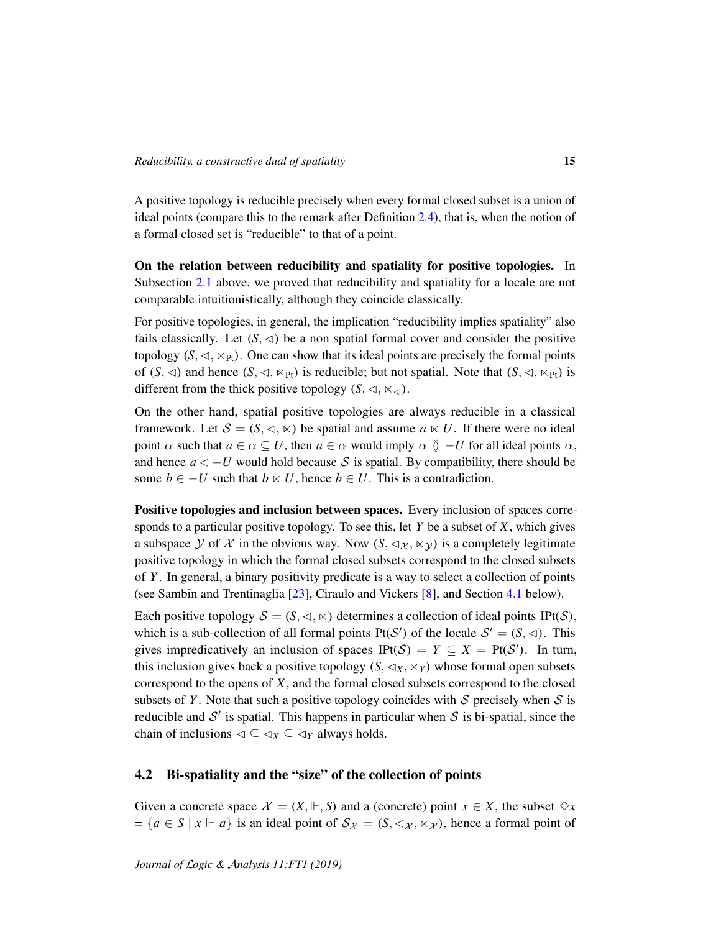A positive topology is reducible precisely when every formal closed subset is a union of ideal points (compare this to the remark after Definition [2.4\)](#page-6-1), that is, when the notion of a formal closed set is "reducible" to that of a point.

On the relation between reducibility and spatiality for positive topologies. In Subsection [2.1](#page-6-2) above, we proved that reducibility and spatiality for a locale are not comparable intuitionistically, although they coincide classically.

For positive topologies, in general, the implication "reducibility implies spatiality" also fails classically. Let  $(S, \triangleleft)$  be a non spatial formal cover and consider the positive topology  $(S, \triangleleft, \ltimes_{\text{Pt}})$ . One can show that its ideal points are precisely the formal points of  $(S, \triangleleft)$  and hence  $(S, \triangleleft, \ltimes_{\text{Pt}})$  is reducible; but not spatial. Note that  $(S, \triangleleft, \ltimes_{\text{Pt}})$  is different from the thick positive topology  $(S, \triangleleft, \ltimes_{\triangleleft})$ .

On the other hand, spatial positive topologies are always reducible in a classical framework. Let  $S = (S, \langle \cdot, \rangle)$  be spatial and assume  $a \times U$ . If there were no ideal point  $\alpha$  such that  $a \in \alpha \subseteq U$ , then  $a \in \alpha$  would imply  $\alpha \circ \beta - U$  for all ideal points  $\alpha$ , and hence  $a \triangleleft - U$  would hold because S is spatial. By compatibility, there should be some *b* ∈ −*U* such that *b*  $\lt$  *U*, hence *b* ∈ *U*. This is a contradiction.

Positive topologies and inclusion between spaces. Every inclusion of spaces corresponds to a particular positive topology. To see this, let *Y* be a subset of *X*, which gives a subspace Y of X in the obvious way. Now  $(S, \lhd_{\mathcal{X}}, \lhd_{\mathcal{Y}})$  is a completely legitimate positive topology in which the formal closed subsets correspond to the closed subsets of *Y* . In general, a binary positivity predicate is a way to select a collection of points (see Sambin and Trentinaglia [\[23\]](#page-24-13), Ciraulo and Vickers [\[8\]](#page-23-4), and Section [4.1](#page-13-0) below).

Each positive topology  $S = (S, \langle \cdot, \rangle)$  determines a collection of ideal points IPt(S), which is a sub-collection of all formal points  $Pf(S')$  of the locale  $S' = (S, \triangleleft)$ . This gives impredicatively an inclusion of spaces  $IPt(S) = Y \subseteq X = Pt(S')$ . In turn, this inclusion gives back a positive topology  $(S, \triangleleft_X, \ltimes_Y)$  whose formal open subsets correspond to the opens of *X*, and the formal closed subsets correspond to the closed subsets of *Y*. Note that such a positive topology coincides with  $S$  precisely when  $S$  is reducible and  $S'$  is spatial. This happens in particular when S is bi-spatial, since the chain of inclusions  $\triangleleft \subseteq \triangleleft_X \subseteq \triangleleft_Y$  always holds.

#### 4.2 Bi-spatiality and the "size" of the collection of points

Given a concrete space  $\mathcal{X} = (X, \Vdash, S)$  and a (concrete) point  $x \in X$ , the subset  $\Diamond x$  $= \{a \in S \mid x \Vdash a\}$  is an ideal point of  $S_{\mathcal{X}} = (S, \triangleleft_{\mathcal{X}}, \ltimes_{\mathcal{X}})$ , hence a formal point of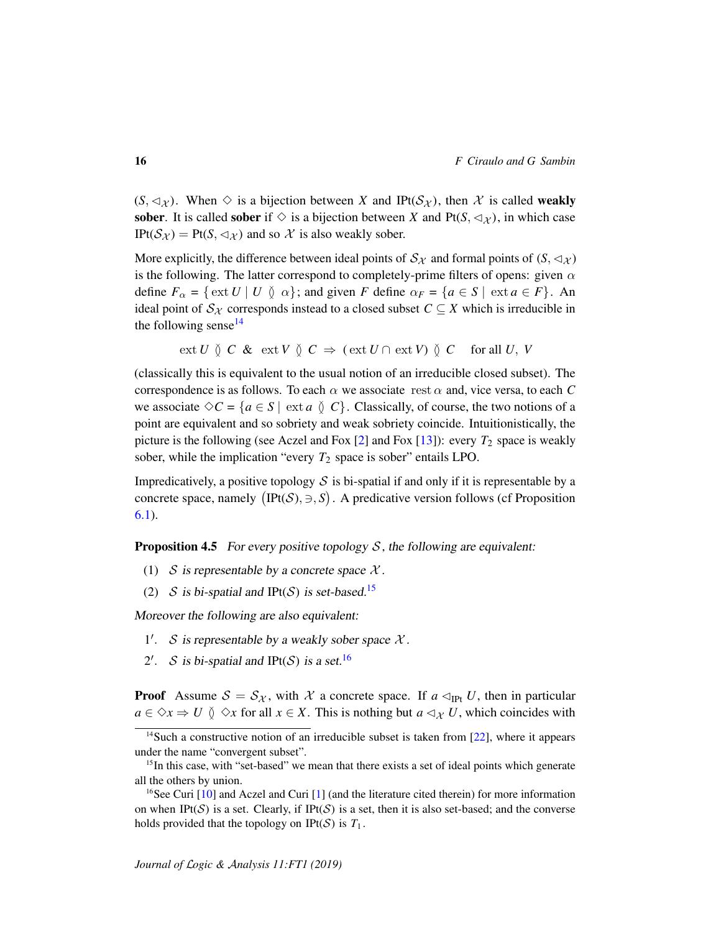$(S, \lhd_{\chi})$ . When  $\diamond$  is a bijection between *X* and IPt( $S_{\chi}$ ), then  $\chi$  is called weakly sober. It is called sober if  $\Diamond$  is a bijection between *X* and Pt(*S*,  $\triangleleft \chi$ ), in which case IPt( $S_{\mathcal{X}}$ ) = Pt(S,  $\triangleleft_{\mathcal{X}}$ ) and so  $\mathcal{X}$  is also weakly sober.

More explicitly, the difference between ideal points of  $S_\chi$  and formal points of  $(S, \lhd_\chi)$ is the following. The latter correspond to completely-prime filters of opens: given  $\alpha$ define  $F_\alpha = \{ \text{ext } U \mid U \text{ } \infty \}$ ; and given *F* define  $\alpha_F = \{ a \in S \mid \text{ext } a \in F \}$ . An ideal point of  $S_X$  corresponds instead to a closed subset  $C \subseteq X$  which is irreducible in the following sense<sup>[14](#page-15-0)</sup>

ext 
$$
U \circ C
$$
 &  $\text{ext } V \circ C \Rightarrow (\text{ext } U \cap \text{ext } V) \circ C$  for all  $U, V$ 

(classically this is equivalent to the usual notion of an irreducible closed subset). The correspondence is as follows. To each  $\alpha$  we associate rest  $\alpha$  and, vice versa, to each C we associate  $\Diamond C = \{a \in S \mid \text{ext } a \circ C\}$ . Classically, of course, the two notions of a point are equivalent and so sobriety and weak sobriety coincide. Intuitionistically, the picture is the following (see Aczel and Fox  $[2]$  and Fox  $[13]$ ): every  $T_2$  space is weakly sober, while the implication "every  $T_2$  space is sober" entails LPO.

Impredicatively, a positive topology  $S$  is bi-spatial if and only if it is representable by a concrete space, namely  $(IFt(S), \exists, S)$ . A predicative version follows (cf Proposition [6.1\)](#page-22-0).

<span id="page-15-3"></span>**Proposition 4.5** For every positive topology  $S$ , the following are equivalent:

- (1) S is representable by a concrete space  $\mathcal{X}$ .
- (2) S is bi-spatial and IPt(S) is set-based.<sup>[15](#page-15-1)</sup>

Moreover the following are also equivalent:

- 1'. S is representable by a weakly sober space  $\mathcal{X}$ .
- 2'. S is bi-spatial and IPt(S) is a set.<sup>[16](#page-15-2)</sup>

**Proof** Assume  $S = S_{\mathcal{X}}$ , with  $\mathcal{X}$  a concrete space. If  $a \triangleleft_{\text{IPt}} U$ , then in particular  $a \in \Diamond x \Rightarrow U \circ \Diamond x$  for all  $x \in X$ . This is nothing but  $a \triangleleft x$  *U*, which coincides with

<span id="page-15-0"></span><sup>&</sup>lt;sup>14</sup>Such a constructive notion of an irreducible subset is taken from [\[22\]](#page-24-0), where it appears under the name "convergent subset".

<span id="page-15-1"></span> $<sup>15</sup>$ In this case, with "set-based" we mean that there exists a set of ideal points which generate</sup> all the others by union.

<span id="page-15-2"></span><sup>&</sup>lt;sup>16</sup>See Curi  $[10]$  and Aczel and Curi  $[1]$  (and the literature cited therein) for more information on when IPt(S) is a set. Clearly, if IPt(S) is a set, then it is also set-based; and the converse holds provided that the topology on IPt( $S$ ) is  $T_1$ .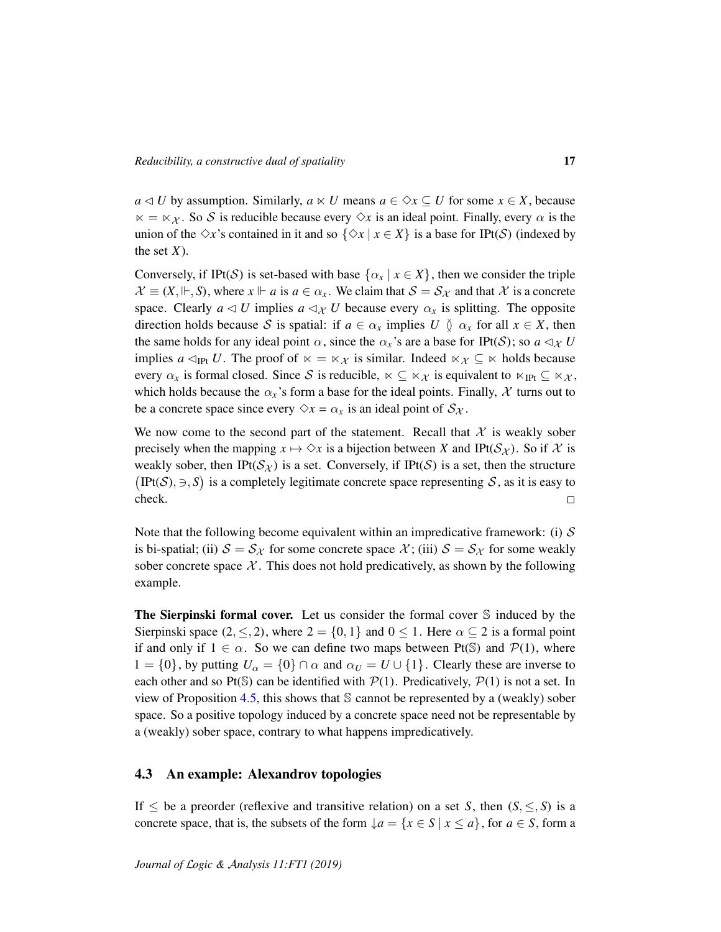*a*  $\triangle$  *U* by assumption. Similarly, *a*  $\triangle$  *U* means *a* ∈  $\diamond$ *x* ⊆ *U* for some *x* ∈ *X*, because  $x = x_{\mathcal{X}}$ . So S is reducible because every  $\Diamond x$  is an ideal point. Finally, every  $\alpha$  is the union of the  $\Diamond x$ 's contained in it and so  $\{\Diamond x \mid x \in X\}$  is a base for IPt(S) (indexed by the set  $X$ ).

Conversely, if IPt(S) is set-based with base  $\{\alpha_x \mid x \in X\}$ , then we consider the triple  $\mathcal{X} \equiv (X, \Vdash, S)$ , where  $x \Vdash a$  is  $a \in \alpha_x$ . We claim that  $S = S_{\mathcal{X}}$  and that  $\mathcal{X}$  is a concrete space. Clearly  $a \triangleleft U$  implies  $a \triangleleft \chi$  *U* because every  $\alpha_x$  is splitting. The opposite direction holds because S is spatial: if  $a \in \alpha_x$  implies  $U \circ \alpha_x$  for all  $x \in X$ , then the same holds for any ideal point  $\alpha$ , since the  $\alpha_x$ 's are a base for IPt(S); so  $a \triangleleft_{\mathcal{X}} U$ implies *a*  $\lhd_{\text{IPt}} U$ . The proof of  $\kappa = \kappa \chi$  is similar. Indeed  $\kappa \chi \subseteq \kappa$  holds because every  $\alpha_x$  is formal closed. Since S is reducible,  $\kappa \subseteq \kappa_{\mathcal{X}}$  is equivalent to  $\kappa_{\text{IPt}} \subseteq \kappa_{\mathcal{X}}$ , which holds because the  $\alpha_x$ 's form a base for the ideal points. Finally,  $\mathcal X$  turns out to be a concrete space since every  $\Diamond x = \alpha_x$  is an ideal point of  $S_{\mathcal{X}}$ .

We now come to the second part of the statement. Recall that  $\mathcal X$  is weakly sober precisely when the mapping  $x \mapsto \Diamond x$  is a bijection between *X* and IPt( $\mathcal{S}_{\mathcal{X}}$ ). So if  $\mathcal{X}$  is weakly sober, then IPt( $S_{\mathcal{X}}$ ) is a set. Conversely, if IPt(S) is a set, then the structure  $(IFt(S), \exists, S)$  is a completely legitimate concrete space representing S, as it is easy to check.  $\Box$ 

Note that the following become equivalent within an impredicative framework: (i)  $\mathcal S$ is bi-spatial; (ii)  $S = S_{\mathcal{X}}$  for some concrete space  $\mathcal{X}$ ; (iii)  $S = S_{\mathcal{X}}$  for some weakly sober concrete space  $X$ . This does not hold predicatively, as shown by the following example.

The Sierpinski formal cover. Let us consider the formal cover S induced by the Sierpinski space  $(2, \leq, 2)$ , where  $2 = \{0, 1\}$  and  $0 \leq 1$ . Here  $\alpha \subseteq 2$  is a formal point if and only if  $1 \in \alpha$ . So we can define two maps between Pt(S) and P(1), where  $1 = \{0\}$ , by putting  $U_\alpha = \{0\} \cap \alpha$  and  $\alpha_U = U \cup \{1\}$ . Clearly these are inverse to each other and so Pt(S) can be identified with  $P(1)$ . Predicatively,  $P(1)$  is not a set. In view of Proposition [4.5,](#page-15-3) this shows that  $S$  cannot be represented by a (weakly) sober space. So a positive topology induced by a concrete space need not be representable by a (weakly) sober space, contrary to what happens impredicatively.

#### <span id="page-16-0"></span>4.3 An example: Alexandrov topologies

If  $\leq$  be a preorder (reflexive and transitive relation) on a set *S*, then  $(S, \leq, S)$  is a concrete space, that is, the subsets of the form  $\{a = \{x \in S \mid x \le a\}$ , for  $a \in S$ , form a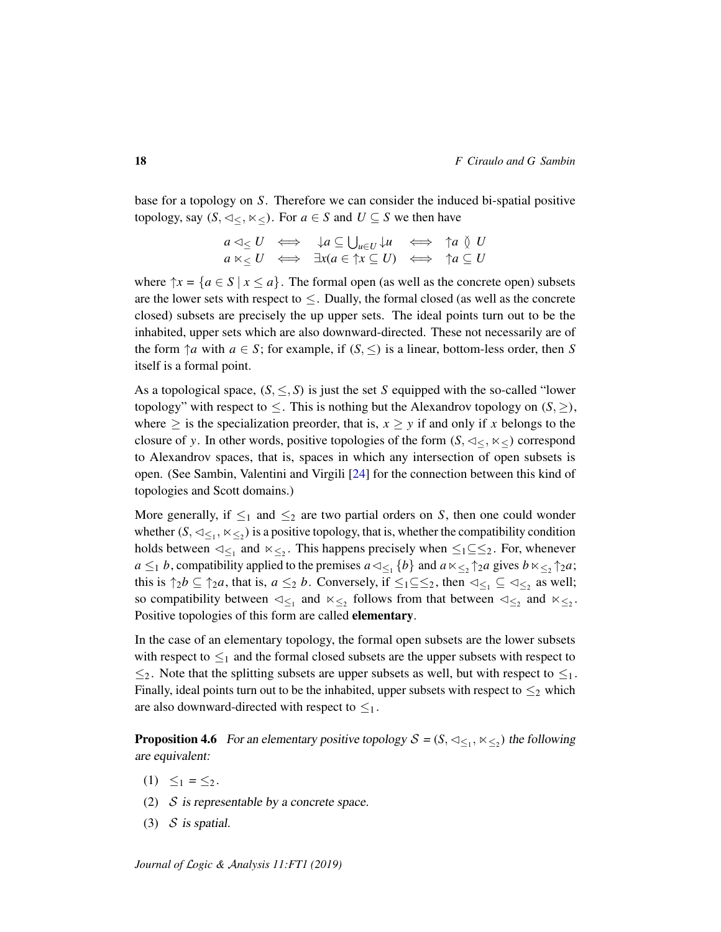base for a topology on *S*. Therefore we can consider the induced bi-spatial positive topology, say  $(S, \lhd \lhd, \lhd \lhd)$ . For  $a \in S$  and  $U \subseteq S$  we then have

$$
a \triangleleft_{\leq} U \iff \downarrow a \subseteq \bigcup_{u \in U} \downarrow u \iff \uparrow a \veeset U
$$
  

$$
a \ltimes_{\leq} U \iff \exists x (a \in \uparrow x \subseteq U) \iff \uparrow a \subseteq U
$$

where  $\uparrow x = \{a \in S \mid x \leq a\}$ . The formal open (as well as the concrete open) subsets are the lower sets with respect to  $\leq$ . Dually, the formal closed (as well as the concrete closed) subsets are precisely the up upper sets. The ideal points turn out to be the inhabited, upper sets which are also downward-directed. These not necessarily are of the form  $\uparrow a$  with  $a \in S$ ; for example, if  $(S, \leq)$  is a linear, bottom-less order, then *S* itself is a formal point.

As a topological space,  $(S, \leq, S)$  is just the set *S* equipped with the so-called "lower" topology" with respect to  $\leq$ . This is nothing but the Alexandrov topology on  $(S, \geq)$ , where  $\geq$  is the specialization preorder, that is,  $x \geq y$  if and only if x belongs to the closure of *y*. In other words, positive topologies of the form  $(S, \lhd \lhd, \lhd \lhd)$  correspond to Alexandrov spaces, that is, spaces in which any intersection of open subsets is open. (See Sambin, Valentini and Virgili [\[24\]](#page-24-15) for the connection between this kind of topologies and Scott domains.)

More generally, if  $\leq_1$  and  $\leq_2$  are two partial orders on *S*, then one could wonder whether  $(S, \lhd_{\leq 1}, \lhd_{\leq 2})$  is a positive topology, that is, whether the compatibility condition holds between  $\lhd_{\leq 1}$  and  $\lhd_{\leq 2}$ . This happens precisely when  $\leq_1 \leq \leq_2$ . For, whenever *a*  $\leq_1$  *b*, compatibility applied to the premises  $a \lt_{\leq_1} \{b\}$  and  $a \lt_{\leq_2} \uparrow_2 a$  gives  $b \lt_{\leq_2} \uparrow_2 a$ ; this is  $\uparrow_2 b \subseteq \uparrow_2 a$ , that is,  $a \leq_2 b$ . Conversely, if  $\leq_1 \subseteq \leq_2$ , then  $\lhd_{\leq_1} \subseteq \lhd_{\leq_2}$  as well; so compatibility between  $\lhd_{\leq_1}$  and  $\lhd_{\leq_2}$  follows from that between  $\lhd_{\leq_2}$  and  $\lhd_{\leq_2}$ . Positive topologies of this form are called elementary.

In the case of an elementary topology, the formal open subsets are the lower subsets with respect to  $\leq_1$  and the formal closed subsets are the upper subsets with respect to  $\leq_2$ . Note that the splitting subsets are upper subsets as well, but with respect to  $\leq_1$ . Finally, ideal points turn out to be the inhabited, upper subsets with respect to  $\leq_2$  which are also downward-directed with respect to  $\leq_1$ .

**Proposition 4.6** For an elementary positive topology  $S = (S, \triangleleft_{\leq 1}, \ltimes_{\leq 2})$  the following are equivalent:

- (1)  $\leq_1 = \leq_2$ .
- (2)  $S$  is representable by a concrete space.
- (3)  $S$  is spatial.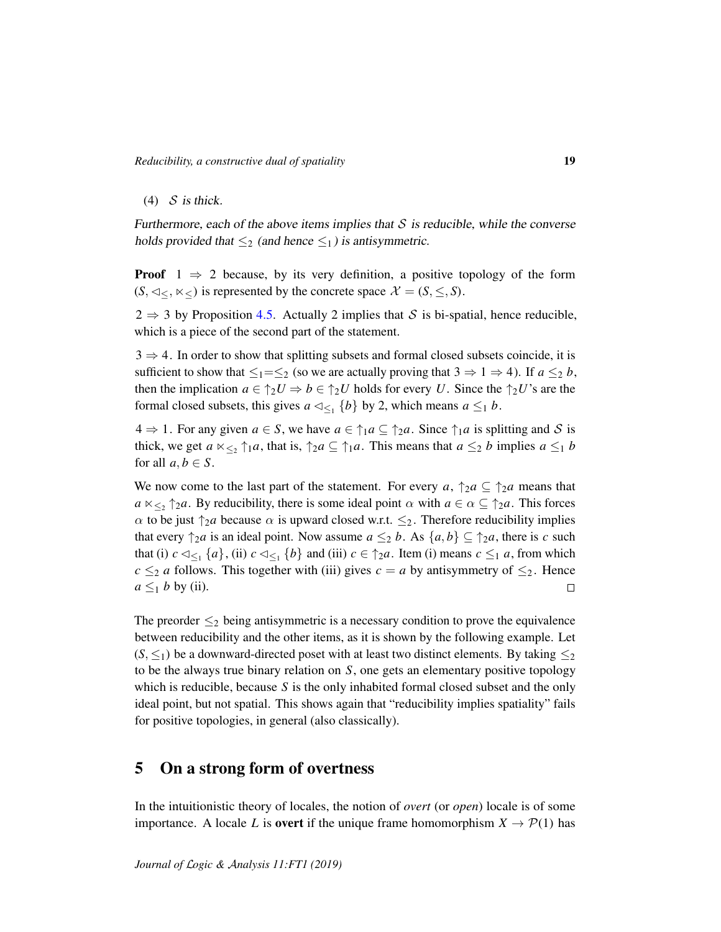(4)  $S$  is thick.

Furthermore, each of the above items implies that  $S$  is reducible, while the converse holds provided that  $\leq_2$  (and hence  $\leq_1$ ) is antisymmetric.

**Proof**  $1 \Rightarrow 2$  because, by its very definition, a positive topology of the form  $(S, \lhd \lhd, \lhd \lhd)$  is represented by the concrete space  $\mathcal{X} = (S, \leq, S)$ .

 $2 \Rightarrow 3$  by Proposition [4.5.](#page-15-3) Actually 2 implies that S is bi-spatial, hence reducible, which is a piece of the second part of the statement.

 $3 \Rightarrow 4$ . In order to show that splitting subsets and formal closed subsets coincide, it is sufficient to show that  $\leq_1 = \leq_2$  (so we are actually proving that  $3 \Rightarrow 1 \Rightarrow 4$ ). If  $a \leq_2 b$ , then the implication  $a \in \uparrow_2 U \Rightarrow b \in \uparrow_2 U$  holds for every *U*. Since the  $\uparrow_2 U$ 's are the formal closed subsets, this gives  $a \triangleleft_{\leq 1} \{b\}$  by 2, which means  $a \leq_1 b$ .

 $4 \Rightarrow 1$ . For any given  $a \in S$ , we have  $a \in \uparrow_1 a \subseteq \uparrow_2 a$ . Since  $\uparrow_1 a$  is splitting and S is thick, we get  $a \ltimes_{\leq_2} \uparrow_1 a$ , that is,  $\uparrow_2 a \subseteq \uparrow_1 a$ . This means that  $a \leq_2 b$  implies  $a \leq_1 b$ for all  $a, b \in S$ .

We now come to the last part of the statement. For every  $a, \uparrow_2 a \subseteq \uparrow_2 a$  means that  $a \ltimes_{\leq_2} \uparrow_2 a$ . By reducibility, there is some ideal point  $\alpha$  with  $a \in \alpha \subseteq \uparrow_2 a$ . This forces  $\alpha$  to be just  $\uparrow_2 a$  because  $\alpha$  is upward closed w.r.t.  $\leq_2$ . Therefore reducibility implies that every  $\uparrow$ <sub>2</sub>*a* is an ideal point. Now assume  $a \leq_2 b$ . As  $\{a, b\} \subseteq \uparrow$ <sub>2</sub>*a*, there is *c* such that (i)  $c \triangleleft_{\leq_1} \{a\}$ , (ii)  $c \triangleleft_{\leq_1} \{b\}$  and (iii)  $c \in \uparrow_2 a$ . Item (i) means  $c \leq_1 a$ , from which  $c \leq_2 a$  follows. This together with (iii) gives  $c = a$  by antisymmetry of  $\leq_2$ . Hence  $a \leq_1 b$  by (ii).  $\Box$ 

The preorder  $\leq_2$  being antisymmetric is a necessary condition to prove the equivalence between reducibility and the other items, as it is shown by the following example. Let  $(S, \leq_1)$  be a downward-directed poset with at least two distinct elements. By taking  $\leq_2$ to be the always true binary relation on *S*, one gets an elementary positive topology which is reducible, because *S* is the only inhabited formal closed subset and the only ideal point, but not spatial. This shows again that "reducibility implies spatiality" fails for positive topologies, in general (also classically).

## 5 On a strong form of overtness

In the intuitionistic theory of locales, the notion of *overt* (or *open*) locale is of some importance. A locale *L* is **overt** if the unique frame homomorphism  $X \to \mathcal{P}(1)$  has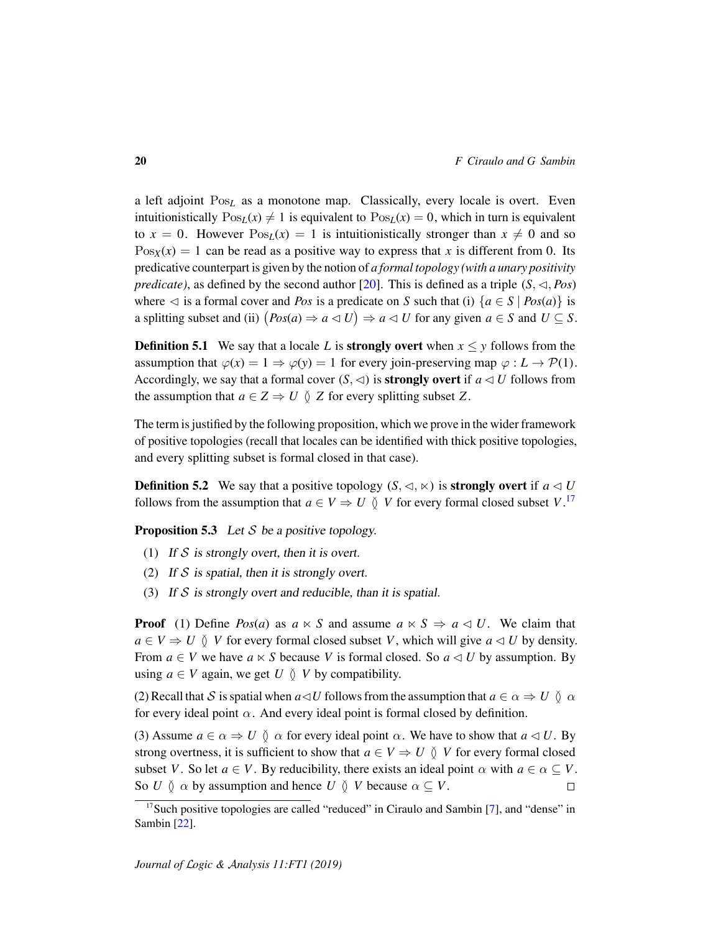a left adjoint Pos<sub>L</sub> as a monotone map. Classically, every locale is overt. Even intuitionistically  $\text{Pos}_L(x) \neq 1$  is equivalent to  $\text{Pos}_L(x) = 0$ , which in turn is equivalent to  $x = 0$ . However  $Pos<sub>L</sub>(x) = 1$  is intuitionistically stronger than  $x \neq 0$  and so  $Pos_X(x) = 1$  can be read as a positive way to express that x is different from 0. Its predicative counterpart is given by the notion of *a formal topology (with a unary positivity predicate*), as defined by the second author [\[20\]](#page-24-7). This is defined as a triple  $(S, \lhd, Pos)$ where  $\lhd$  is a formal cover and *Pos* is a predicate on *S* such that (i)  $\{a \in S \mid Pos(a)\}\$ is a splitting subset and (ii)  $(Pos(a) \Rightarrow a \triangleleft U) \Rightarrow a \triangleleft U$  for any given  $a \in S$  and  $U \subseteq S$ .

**Definition 5.1** We say that a locale L is **strongly overt** when  $x \leq y$  follows from the assumption that  $\varphi(x) = 1 \Rightarrow \varphi(y) = 1$  for every join-preserving map  $\varphi : L \to \mathcal{P}(1)$ . Accordingly, we say that a formal cover  $(S, \triangleleft)$  is **strongly overt** if  $a \triangleleft U$  follows from the assumption that  $a \in Z \Rightarrow U \circ Z$  for every splitting subset Z.

The term is justified by the following proposition, which we prove in the wider framework of positive topologies (recall that locales can be identified with thick positive topologies, and every splitting subset is formal closed in that case).

**Definition 5.2** We say that a positive topology  $(S, \lhd, \lhd)$  is **strongly overt** if  $a \lhd U$ follows from the assumption that  $a \in V \Rightarrow U \circ V$  for every formal closed subset  $V$ .<sup>[17](#page-19-0)</sup>

<span id="page-19-1"></span>**Proposition 5.3** Let S be a positive topology.

- (1) If  $S$  is strongly overt, then it is overt.
- (2) If  $S$  is spatial, then it is strongly overt.
- (3) If S is strongly overt and reducible, than it is spatial.

**Proof** (1) Define *Pos(a)* as  $a \ltimes S$  and assume  $a \ltimes S \Rightarrow a \leq U$ . We claim that  $a \in V \Rightarrow U \parallel V$  for every formal closed subset *V*, which will give  $a \triangleleft U$  by density. From  $a \in V$  we have  $a \times S$  because V is formal closed. So  $a \triangleleft U$  by assumption. By using  $a \in V$  again, we get  $U \circ V$  by compatibility.

(2) Recall that S is spatial when  $a \triangleleft U$  follows from the assumption that  $a \in \alpha \Rightarrow U \circ \alpha$ for every ideal point  $\alpha$ . And every ideal point is formal closed by definition.

(3) Assume  $a \in \alpha \Rightarrow U \circ \alpha$  for every ideal point  $\alpha$ . We have to show that  $a \triangleleft U$ . By strong overtness, it is sufficient to show that  $a \in V \Rightarrow U \circ V$  for every formal closed subset *V*. So let  $a \in V$ . By reducibility, there exists an ideal point  $\alpha$  with  $a \in \alpha \subseteq V$ . So *U*  $\delta$   $\alpha$  by assumption and hence *U*  $\delta$  *V* because  $\alpha \subset V$ .  $\Box$ 

<span id="page-19-0"></span><sup>&</sup>lt;sup>17</sup>Such positive topologies are called "reduced" in Ciraulo and Sambin [\[7\]](#page-23-5), and "dense" in Sambin [\[22\]](#page-24-0).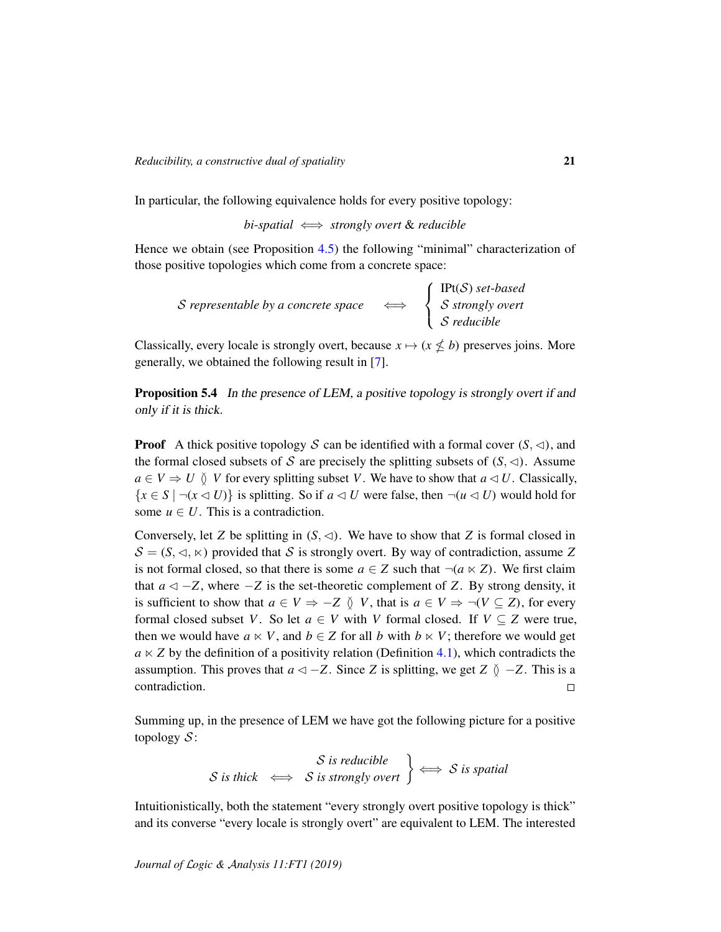In particular, the following equivalence holds for every positive topology:

*bi*-*spatial* ⇐⇒ *strongly overt* & *reducible*

Hence we obtain (see Proposition [4.5\)](#page-15-3) the following "minimal" characterization of those positive topologies which come from a concrete space:

S representable by a concrete space  $\sqrt{ }$  $\left| \right|$  $\mathcal{L}$ IPt(S) *set*-*based* S *strongly overt* S *reducible*

Classically, every locale is strongly overt, because  $x \mapsto (x \nleq b)$  preserves joins. More generally, we obtained the following result in [\[7\]](#page-23-5).

Proposition 5.4 In the presence of LEM, a positive topology is strongly overt if and only if it is thick.

**Proof** A thick positive topology S can be identified with a formal cover  $(S, \triangleleft)$ , and the formal closed subsets of S are precisely the splitting subsets of  $(S, \triangleleft)$ . Assume  $a \in V \Rightarrow U \circ V$  for every splitting subset *V*. We have to show that  $a \triangleleft U$ . Classically,  ${x \in S \mid \neg(x \triangleleft U)}$  is splitting. So if  $a \triangleleft U$  were false, then  $\neg(u \triangleleft U)$  would hold for some  $u \in U$ . This is a contradiction.

Conversely, let *Z* be splitting in  $(S, \triangleleft)$ . We have to show that *Z* is formal closed in  $S = (S, \triangleleft, \ltimes)$  provided that S is strongly overt. By way of contradiction, assume Z is not formal closed, so that there is some  $a \in Z$  such that  $\neg(a \ltimes Z)$ . We first claim that  $a \triangleleft -Z$ , where  $-Z$  is the set-theoretic complement of *Z*. By strong density, it is sufficient to show that  $a \in V \Rightarrow -Z \uparrow V$ , that is  $a \in V \Rightarrow \neg(V \subseteq Z)$ , for every formal closed subset *V*. So let  $a \in V$  with *V* formal closed. If  $V \subseteq Z$  were true, then we would have  $a \ltimes V$ , and  $b \in Z$  for all *b* with  $b \ltimes V$ ; therefore we would get  $a \ltimes Z$  by the definition of a positivity relation (Definition [4.1\)](#page-11-2), which contradicts the assumption. This proves that  $a \leq -Z$ . Since *Z* is splitting, we get *Z*  $\delta$  −*Z*. This is a contradiction.  $\Box$ 

Summing up, in the presence of LEM we have got the following picture for a positive topology  $S$ :

$$
S
$$
 is reducible  
 $S$  is thick  $\iff$   $S$  is strongly over  $\Rightarrow$   $S$  is spatial

Intuitionistically, both the statement "every strongly overt positive topology is thick" and its converse "every locale is strongly overt" are equivalent to LEM. The interested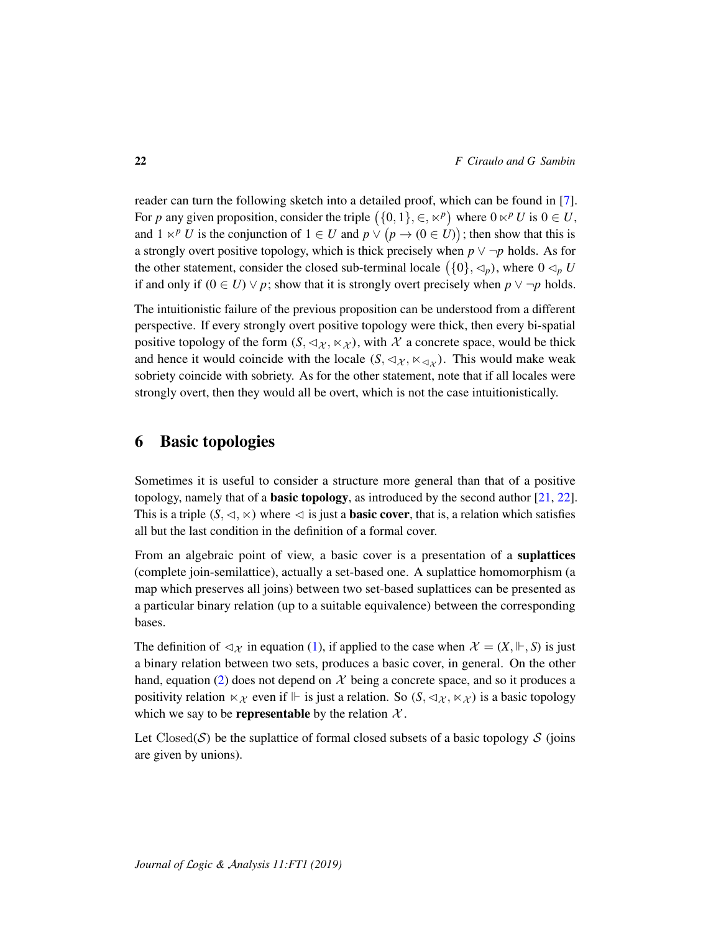reader can turn the following sketch into a detailed proof, which can be found in [\[7\]](#page-23-5). For *p* any given proposition, consider the triple  $(\{0, 1\}, \in, \kappa^p)$  where  $0 \kappa^p U$  is  $0 \in U$ , and  $1 \lt P U$  is the conjunction of  $1 \in U$  and  $p \vee (p \to (0 \in U))$ ; then show that this is a strongly overt positive topology, which is thick precisely when  $p \vee \neg p$  holds. As for the other statement, consider the closed sub-terminal locale  $(\{0\}, \lhd_p)$ , where  $0 \lhd_p U$ if and only if  $(0 \in U) \vee p$ ; show that it is strongly overt precisely when  $p \vee \neg p$  holds.

The intuitionistic failure of the previous proposition can be understood from a different perspective. If every strongly overt positive topology were thick, then every bi-spatial positive topology of the form  $(S, \triangleleft \chi, \times \chi)$ , with X a concrete space, would be thick and hence it would coincide with the locale  $(S, \triangleleft_{\mathcal{X}}, \ltimes_{\triangleleft_{\mathcal{X}}})$ . This would make weak sobriety coincide with sobriety. As for the other statement, note that if all locales were strongly overt, then they would all be overt, which is not the case intuitionistically.

## 6 Basic topologies

Sometimes it is useful to consider a structure more general than that of a positive topology, namely that of a **basic topology**, as introduced by the second author  $[21, 22]$  $[21, 22]$  $[21, 22]$ . This is a triple  $(S, \triangleleft, \ltimes)$  where  $\triangleleft$  is just a **basic cover**, that is, a relation which satisfies all but the last condition in the definition of a formal cover.

From an algebraic point of view, a basic cover is a presentation of a suplattices (complete join-semilattice), actually a set-based one. A suplattice homomorphism (a map which preserves all joins) between two set-based suplattices can be presented as a particular binary relation (up to a suitable equivalence) between the corresponding bases.

The definition of  $\lhd \chi$  in equation [\(1\)](#page-4-2), if applied to the case when  $\mathcal{X} = (X, \Vdash, S)$  is just a binary relation between two sets, produces a basic cover, in general. On the other hand, equation [\(2\)](#page-11-3) does not depend on  $X$  being a concrete space, and so it produces a positivity relation  $\ltimes \chi$  even if  $\Vdash$  is just a relation. So  $(S, \lhd \chi, \ltimes \chi)$  is a basic topology which we say to be **representable** by the relation  $X$ .

Let Closed(S) be the suplattice of formal closed subsets of a basic topology  $S$  (joins are given by unions).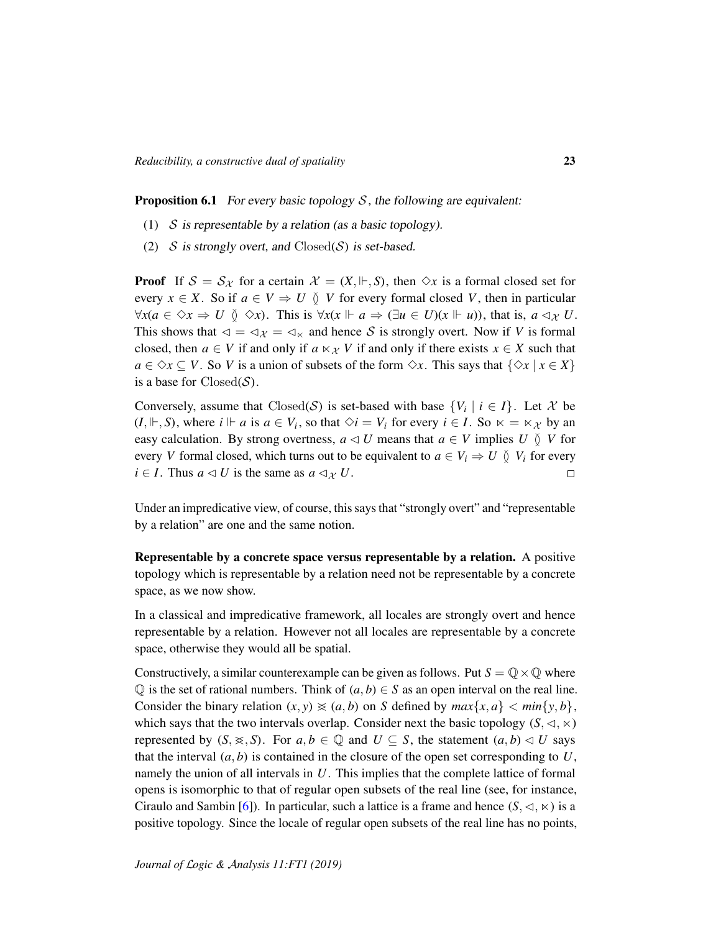<span id="page-22-0"></span>**Proposition 6.1** For every basic topology  $S$ , the following are equivalent:

- (1)  $S$  is representable by a relation (as a basic topology).
- (2)  $S$  is strongly overt, and  $Closed(S)$  is set-based.

**Proof** If  $S = S_{\mathcal{X}}$  for a certain  $\mathcal{X} = (X, \Vdash, S)$ , then  $\Diamond x$  is a formal closed set for every  $x \in X$ . So if  $a \in V \Rightarrow U \circ V$  for every formal closed V, then in particular  $\forall x (a \in \Diamond x \Rightarrow U \emptyset \Diamond x)$ . This is  $\forall x (x \Vdash a \Rightarrow (\exists u \in U)(x \Vdash u))$ , that is,  $a \triangleleft x \cup U$ . This shows that  $\lhd = \lhd_{\mathcal{X}} = \lhd_{\kappa}$  and hence S is strongly overt. Now if *V* is formal closed, then  $a \in V$  if and only if  $a \ltimes \chi V$  if and only if there exists  $x \in X$  such that  $a \in \Diamond x \subseteq V$ . So *V* is a union of subsets of the form  $\Diamond x$ . This says that  $\{\Diamond x \mid x \in X\}$ is a base for  $Closed(S)$ .

Conversely, assume that  $Closed(S)$  is set-based with base  $\{V_i \mid i \in I\}$ . Let X be  $(I, \Vdash, S)$ , where  $i \Vdash a$  is  $a \in V_i$ , so that  $\Diamond i = V_i$  for every  $i \in I$ . So  $\ltimes = \ltimes_{\mathcal{X}}$  by an easy calculation. By strong overtness,  $a \triangleleft U$  means that  $a \in V$  implies  $U \setminus V$  for every *V* formal closed, which turns out to be equivalent to  $a \in V_i \Rightarrow U \circ V_i$  for every *i* ∈ *I*. Thus  $a \triangleleft U$  is the same as  $a \triangleleft_{\mathcal{X}} U$ .  $\Box$ 

Under an impredicative view, of course, this says that "strongly overt" and "representable by a relation" are one and the same notion.

Representable by a concrete space versus representable by a relation. A positive topology which is representable by a relation need not be representable by a concrete space, as we now show.

In a classical and impredicative framework, all locales are strongly overt and hence representable by a relation. However not all locales are representable by a concrete space, otherwise they would all be spatial.

Constructively, a similar counterexample can be given as follows. Put  $S = \mathbb{Q} \times \mathbb{Q}$  where  $\mathbb{Q}$  is the set of rational numbers. Think of  $(a, b) \in S$  as an open interval on the real line. Consider the binary relation  $(x, y) \geq a$ , *b*) on *S* defined by  $max\{x, a\} < min\{y, b\}$ , which says that the two intervals overlap. Consider next the basic topology  $(S, \lhd, \lhd)$ represented by  $(S, \geqslant, S)$ . For  $a, b \in \mathbb{Q}$  and  $U \subset S$ , the statement  $(a, b) \triangleleft U$  says that the interval  $(a, b)$  is contained in the closure of the open set corresponding to  $U$ , namely the union of all intervals in *U*. This implies that the complete lattice of formal opens is isomorphic to that of regular open subsets of the real line (see, for instance, Ciraulo and Sambin [\[6\]](#page-23-9)). In particular, such a lattice is a frame and hence  $(S, \lhd, \lhd)$  is a positive topology. Since the locale of regular open subsets of the real line has no points,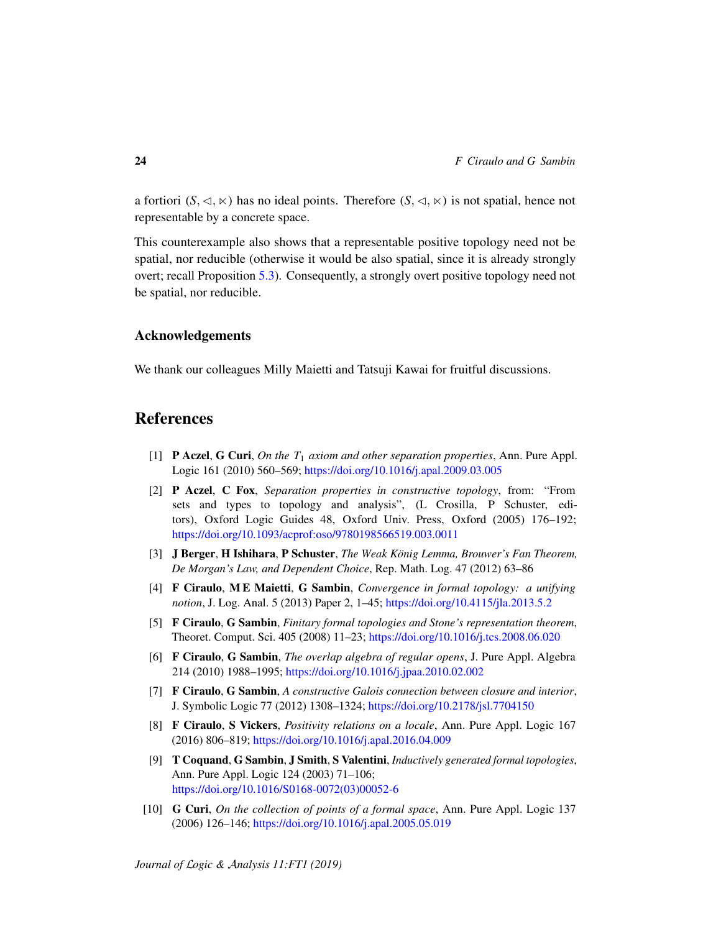a fortiori  $(S, \triangleleft, \ltimes)$  has no ideal points. Therefore  $(S, \triangleleft, \ltimes)$  is not spatial, hence not representable by a concrete space.

This counterexample also shows that a representable positive topology need not be spatial, nor reducible (otherwise it would be also spatial, since it is already strongly overt; recall Proposition [5.3\)](#page-19-1). Consequently, a strongly overt positive topology need not be spatial, nor reducible.

### Acknowledgements

We thank our colleagues Milly Maietti and Tatsuji Kawai for fruitful discussions.

## References

- <span id="page-23-8"></span>[1] P Aczel, G Curi, *On the T*<sup>1</sup> *axiom and other separation properties*, Ann. Pure Appl. Logic 161 (2010) 560–569; <https://doi.org/10.1016/j.apal.2009.03.005>
- <span id="page-23-6"></span>[2] P Aczel, C Fox, *Separation properties in constructive topology*, from: "From sets and types to topology and analysis", (L Crosilla, P Schuster, editors), Oxford Logic Guides 48, Oxford Univ. Press, Oxford (2005) 176–192; <https://doi.org/10.1093/acprof:oso/9780198566519.003.0011>
- <span id="page-23-3"></span>[3] J Berger, H Ishihara, P Schuster, *The Weak Konig Lemma, Brouwer's Fan Theorem, ¨ De Morgan's Law, and Dependent Choice*, Rep. Math. Log. 47 (2012) 63–86
- <span id="page-23-2"></span>[4] F Ciraulo, M E Maietti, G Sambin, *Convergence in formal topology: a unifying notion*, J. Log. Anal. 5 (2013) Paper 2, 1–45; <https://doi.org/10.4115/jla.2013.5.2>
- <span id="page-23-0"></span>[5] F Ciraulo, G Sambin, *Finitary formal topologies and Stone's representation theorem*, Theoret. Comput. Sci. 405 (2008) 11–23; <https://doi.org/10.1016/j.tcs.2008.06.020>
- <span id="page-23-9"></span>[6] F Ciraulo, G Sambin, *The overlap algebra of regular opens*, J. Pure Appl. Algebra 214 (2010) 1988–1995; <https://doi.org/10.1016/j.jpaa.2010.02.002>
- <span id="page-23-5"></span>[7] F Ciraulo, G Sambin, *A constructive Galois connection between closure and interior*, J. Symbolic Logic 77 (2012) 1308–1324; <https://doi.org/10.2178/jsl.7704150>
- <span id="page-23-4"></span>[8] F Ciraulo, S Vickers, *Positivity relations on a locale*, Ann. Pure Appl. Logic 167 (2016) 806–819; <https://doi.org/10.1016/j.apal.2016.04.009>
- <span id="page-23-1"></span>[9] T Coquand, G Sambin, J Smith, S Valentini, *Inductively generated formal topologies*, Ann. Pure Appl. Logic 124 (2003) 71–106; [https://doi.org/10.1016/S0168-0072\(03\)00052-6](https://doi.org/10.1016/S0168-0072(03)00052-6)
- <span id="page-23-7"></span>[10] G Curi, *On the collection of points of a formal space*, Ann. Pure Appl. Logic 137 (2006) 126–146; <https://doi.org/10.1016/j.apal.2005.05.019>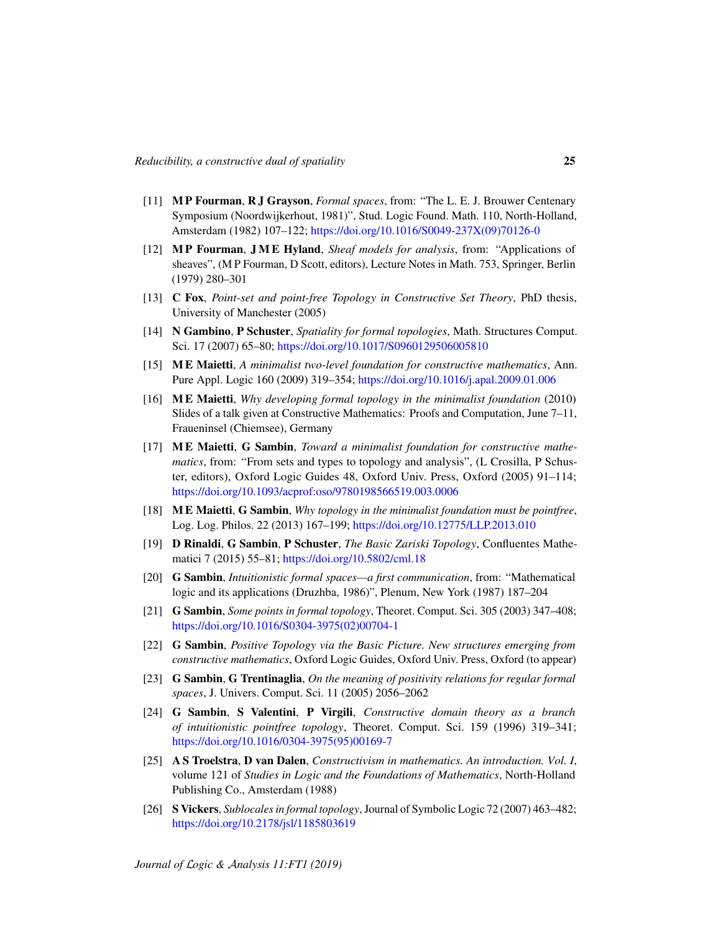- <span id="page-24-9"></span>[11] M P Fourman, R J Grayson, *Formal spaces*, from: "The L. E. J. Brouwer Centenary Symposium (Noordwijkerhout, 1981)", Stud. Logic Found. Math. 110, North-Holland, Amsterdam (1982) 107–122; [https://doi.org/10.1016/S0049-237X\(09\)70126-0](https://doi.org/10.1016/S0049-237X(09)70126-0)
- <span id="page-24-11"></span>[12] M P Fourman, J M E Hyland, *Sheaf models for analysis*, from: "Applications of sheaves", (M P Fourman, D Scott, editors), Lecture Notes in Math. 753, Springer, Berlin (1979) 280–301
- <span id="page-24-14"></span>[13] C Fox, *Point-set and point-free Topology in Constructive Set Theory*, PhD thesis, University of Manchester (2005)
- <span id="page-24-10"></span>[14] N Gambino, P Schuster, *Spatiality for formal topologies*, Math. Structures Comput. Sci. 17 (2007) 65–80; <https://doi.org/10.1017/S0960129506005810>
- <span id="page-24-3"></span>[15] M E Maietti, *A minimalist two-level foundation for constructive mathematics*, Ann. Pure Appl. Logic 160 (2009) 319–354; <https://doi.org/10.1016/j.apal.2009.01.006>
- <span id="page-24-8"></span>[16] M E Maietti, *Why developing formal topology in the minimalist foundation* (2010) Slides of a talk given at Constructive Mathematics: Proofs and Computation, June 7–11, Fraueninsel (Chiemsee), Germany
- <span id="page-24-2"></span>[17] M E Maietti, G Sambin, *Toward a minimalist foundation for constructive mathematics*, from: "From sets and types to topology and analysis", (L Crosilla, P Schuster, editors), Oxford Logic Guides 48, Oxford Univ. Press, Oxford (2005) 91–114; <https://doi.org/10.1093/acprof:oso/9780198566519.003.0006>
- <span id="page-24-4"></span>[18] M E Maietti, G Sambin, *Why topology in the minimalist foundation must be pointfree*, Log. Log. Philos. 22 (2013) 167–199; <https://doi.org/10.12775/LLP.2013.010>
- <span id="page-24-1"></span>[19] D Rinaldi, G Sambin, P Schuster, *The Basic Zariski Topology*, Confluentes Mathematici 7 (2015) 55–81; <https://doi.org/10.5802/cml.18>
- <span id="page-24-7"></span>[20] G Sambin, *Intuitionistic formal spaces—a first communication*, from: "Mathematical logic and its applications (Druzhba, 1986)", Plenum, New York (1987) 187–204
- <span id="page-24-5"></span>[21] G Sambin, *Some points in formal topology*, Theoret. Comput. Sci. 305 (2003) 347–408; [https://doi.org/10.1016/S0304-3975\(02\)00704-1](https://doi.org/10.1016/S0304-3975(02)00704-1)
- <span id="page-24-0"></span>[22] G Sambin, *Positive Topology via the Basic Picture. New structures emerging from constructive mathematics*, Oxford Logic Guides, Oxford Univ. Press, Oxford (to appear)
- <span id="page-24-13"></span>[23] G Sambin, G Trentinaglia, *On the meaning of positivity relations for regular formal spaces*, J. Univers. Comput. Sci. 11 (2005) 2056–2062
- <span id="page-24-15"></span>[24] G Sambin, S Valentini, P Virgili, *Constructive domain theory as a branch of intuitionistic pointfree topology*, Theoret. Comput. Sci. 159 (1996) 319–341; [https://doi.org/10.1016/0304-3975\(95\)00169-7](https://doi.org/10.1016/0304-3975(95)00169-7)
- <span id="page-24-12"></span>[25] A S Troelstra, D van Dalen, *Constructivism in mathematics. An introduction. Vol. I*, volume 121 of *Studies in Logic and the Foundations of Mathematics*, North-Holland Publishing Co., Amsterdam (1988)
- <span id="page-24-6"></span>[26] S Vickers, *Sublocales in formal topology*, Journal of Symbolic Logic 72 (2007) 463–482; <https://doi.org/10.2178/jsl/1185803619>